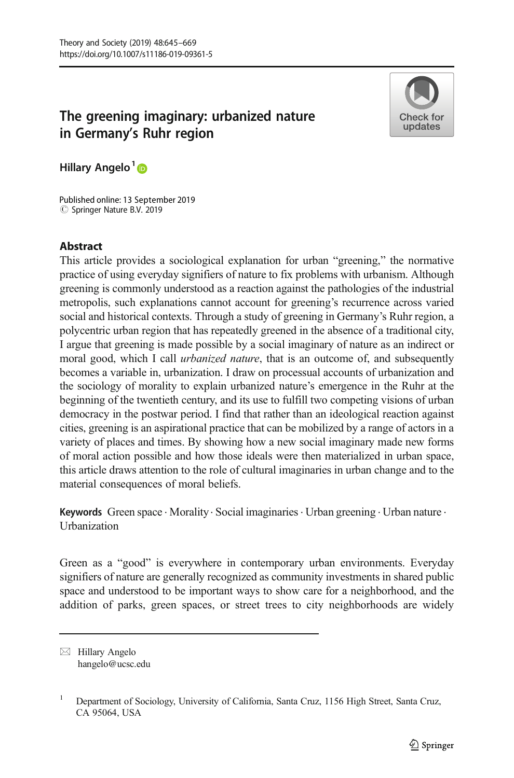# The greening imaginary: urbanized nature in Germany's Ruhr region



Hillary Angelo<sup>1</sup><sup>D</sup>

 $\circledcirc$  Springer Nature B.V. 2019 Published online: 13 September 2019

# Abstract

This article provides a sociological explanation for urban "greening," the normative practice of using everyday signifiers of nature to fix problems with urbanism. Although greening is commonly understood as a reaction against the pathologies of the industrial metropolis, such explanations cannot account for greening's recurrence across varied social and historical contexts. Through a study of greening in Germany's Ruhr region, a polycentric urban region that has repeatedly greened in the absence of a traditional city, I argue that greening is made possible by a social imaginary of nature as an indirect or moral good, which I call *urbanized nature*, that is an outcome of, and subsequently becomes a variable in, urbanization. I draw on processual accounts of urbanization and the sociology of morality to explain urbanized nature's emergence in the Ruhr at the beginning of the twentieth century, and its use to fulfill two competing visions of urban democracy in the postwar period. I find that rather than an ideological reaction against cities, greening is an aspirational practice that can be mobilized by a range of actors in a variety of places and times. By showing how a new social imaginary made new forms of moral action possible and how those ideals were then materialized in urban space, this article draws attention to the role of cultural imaginaries in urban change and to the material consequences of moral beliefs.

Keywords Green space  $\cdot$  Morality  $\cdot$  Social imaginaries  $\cdot$  Urban greening  $\cdot$  Urban nature  $\cdot$ Urbanization

Green as a "good" is everywhere in contemporary urban environments. Everyday signifiers of nature are generally recognized as community investments in shared public space and understood to be important ways to show care for a neighborhood, and the addition of parks, green spaces, or street trees to city neighborhoods are widely

 $\boxtimes$  Hillary Angelo [hangelo@ucsc.edu](mailto:hangelo@ucsc.edu)

<sup>&</sup>lt;sup>1</sup> Department of Sociology, University of California, Santa Cruz, 1156 High Street, Santa Cruz, CA 95064, USA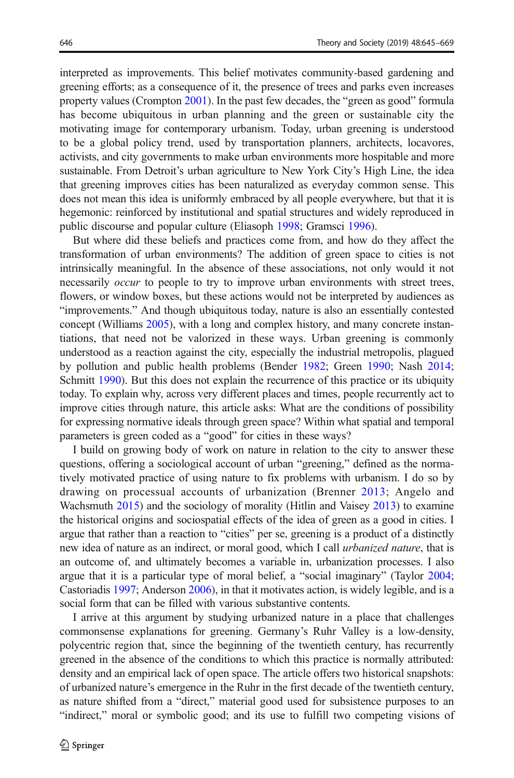interpreted as improvements. This belief motivates community-based gardening and greening efforts; as a consequence of it, the presence of trees and parks even increases property values (Crompton [2001](#page-21-0)). In the past few decades, the "green as good" formula has become ubiquitous in urban planning and the green or sustainable city the motivating image for contemporary urbanism. Today, urban greening is understood to be a global policy trend, used by transportation planners, architects, locavores, activists, and city governments to make urban environments more hospitable and more sustainable. From Detroit's urban agriculture to New York City's High Line, the idea that greening improves cities has been naturalized as everyday common sense. This does not mean this idea is uniformly embraced by all people everywhere, but that it is hegemonic: reinforced by institutional and spatial structures and widely reproduced in public discourse and popular culture (Eliasoph [1998](#page-21-0); Gramsci [1996](#page-21-0)).

But where did these beliefs and practices come from, and how do they affect the transformation of urban environments? The addition of green space to cities is not intrinsically meaningful. In the absence of these associations, not only would it not necessarily *occur* to people to try to improve urban environments with street trees, flowers, or window boxes, but these actions would not be interpreted by audiences as "improvements." And though ubiquitous today, nature is also an essentially contested concept (Williams [2005\)](#page-23-0), with a long and complex history, and many concrete instantiations, that need not be valorized in these ways. Urban greening is commonly understood as a reaction against the city, especially the industrial metropolis, plagued by pollution and public health problems (Bender [1982](#page-20-0); Green [1990;](#page-21-0) Nash [2014;](#page-22-0) Schmitt [1990\)](#page-23-0). But this does not explain the recurrence of this practice or its ubiquity today. To explain why, across very different places and times, people recurrently act to improve cities through nature, this article asks: What are the conditions of possibility for expressing normative ideals through green space? Within what spatial and temporal parameters is green coded as a "good" for cities in these ways?

I build on growing body of work on nature in relation to the city to answer these questions, offering a sociological account of urban "greening," defined as the normatively motivated practice of using nature to fix problems with urbanism. I do so by drawing on processual accounts of urbanization (Brenner [2013](#page-20-0); Angelo and Wachsmuth [2015](#page-20-0)) and the sociology of morality (Hitlin and Vaisey [2013\)](#page-21-0) to examine the historical origins and sociospatial effects of the idea of green as a good in cities. I argue that rather than a reaction to "cities" per se, greening is a product of a distinctly new idea of nature as an indirect, or moral good, which I call *urbanized nature*, that is an outcome of, and ultimately becomes a variable in, urbanization processes. I also argue that it is a particular type of moral belief, a "social imaginary" (Taylor [2004;](#page-23-0) Castoriadis [1997](#page-21-0); Anderson [2006\)](#page-20-0), in that it motivates action, is widely legible, and is a social form that can be filled with various substantive contents.

I arrive at this argument by studying urbanized nature in a place that challenges commonsense explanations for greening. Germany's Ruhr Valley is a low-density, polycentric region that, since the beginning of the twentieth century, has recurrently greened in the absence of the conditions to which this practice is normally attributed: density and an empirical lack of open space. The article offers two historical snapshots: of urbanized nature's emergence in the Ruhr in the first decade of the twentieth century, as nature shifted from a "direct," material good used for subsistence purposes to an "indirect," moral or symbolic good; and its use to fulfill two competing visions of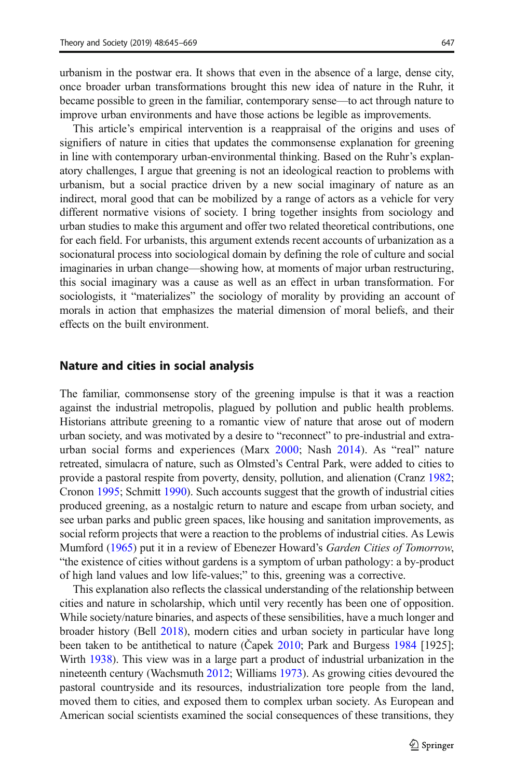urbanism in the postwar era. It shows that even in the absence of a large, dense city, once broader urban transformations brought this new idea of nature in the Ruhr, it became possible to green in the familiar, contemporary sense—to act through nature to improve urban environments and have those actions be legible as improvements.

This article's empirical intervention is a reappraisal of the origins and uses of signifiers of nature in cities that updates the commonsense explanation for greening in line with contemporary urban-environmental thinking. Based on the Ruhr's explanatory challenges, I argue that greening is not an ideological reaction to problems with urbanism, but a social practice driven by a new social imaginary of nature as an indirect, moral good that can be mobilized by a range of actors as a vehicle for very different normative visions of society. I bring together insights from sociology and urban studies to make this argument and offer two related theoretical contributions, one for each field. For urbanists, this argument extends recent accounts of urbanization as a socionatural process into sociological domain by defining the role of culture and social imaginaries in urban change—showing how, at moments of major urban restructuring, this social imaginary was a cause as well as an effect in urban transformation. For sociologists, it "materializes" the sociology of morality by providing an account of morals in action that emphasizes the material dimension of moral beliefs, and their effects on the built environment.

#### Nature and cities in social analysis

The familiar, commonsense story of the greening impulse is that it was a reaction against the industrial metropolis, plagued by pollution and public health problems. Historians attribute greening to a romantic view of nature that arose out of modern urban society, and was motivated by a desire to "reconnect" to pre-industrial and extraurban social forms and experiences (Marx [2000;](#page-22-0) Nash [2014\)](#page-22-0). As "real" nature retreated, simulacra of nature, such as Olmsted's Central Park, were added to cities to provide a pastoral respite from poverty, density, pollution, and alienation (Cranz [1982;](#page-21-0) Cronon [1995](#page-21-0); Schmitt [1990\)](#page-23-0). Such accounts suggest that the growth of industrial cities produced greening, as a nostalgic return to nature and escape from urban society, and see urban parks and public green spaces, like housing and sanitation improvements, as social reform projects that were a reaction to the problems of industrial cities. As Lewis Mumford [\(1965\)](#page-22-0) put it in a review of Ebenezer Howard's Garden Cities of Tomorrow, "the existence of cities without gardens is a symptom of urban pathology: a by-product of high land values and low life-values;" to this, greening was a corrective.

This explanation also reflects the classical understanding of the relationship between cities and nature in scholarship, which until very recently has been one of opposition. While society/nature binaries, and aspects of these sensibilities, have a much longer and broader history (Bell [2018\)](#page-20-0), modern cities and urban society in particular have long been taken to be antithetical to nature (Čapek [2010](#page-21-0); Park and Burgess [1984](#page-23-0) [1925]; Wirth [1938\)](#page-23-0). This view was in a large part a product of industrial urbanization in the nineteenth century (Wachsmuth [2012](#page-23-0); Williams [1973\)](#page-23-0). As growing cities devoured the pastoral countryside and its resources, industrialization tore people from the land, moved them to cities, and exposed them to complex urban society. As European and American social scientists examined the social consequences of these transitions, they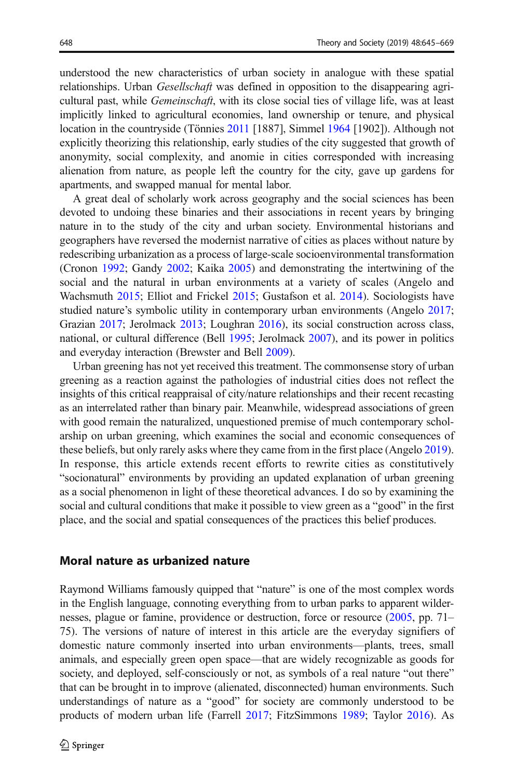understood the new characteristics of urban society in analogue with these spatial relationships. Urban *Gesellschaft* was defined in opposition to the disappearing agricultural past, while Gemeinschaft, with its close social ties of village life, was at least implicitly linked to agricultural economies, land ownership or tenure, and physical location in the countryside (Tönnies [2011](#page-23-0) [1887], Simmel [1964](#page-23-0) [1902]). Although not explicitly theorizing this relationship, early studies of the city suggested that growth of anonymity, social complexity, and anomie in cities corresponded with increasing alienation from nature, as people left the country for the city, gave up gardens for apartments, and swapped manual for mental labor.

A great deal of scholarly work across geography and the social sciences has been devoted to undoing these binaries and their associations in recent years by bringing nature in to the study of the city and urban society. Environmental historians and geographers have reversed the modernist narrative of cities as places without nature by redescribing urbanization as a process of large-scale socioenvironmental transformation (Cronon [1992;](#page-21-0) Gandy [2002](#page-21-0); Kaika [2005\)](#page-22-0) and demonstrating the intertwining of the social and the natural in urban environments at a variety of scales (Angelo and Wachsmuth [2015;](#page-20-0) Elliot and Frickel [2015;](#page-21-0) Gustafson et al. [2014](#page-21-0)). Sociologists have studied nature's symbolic utility in contemporary urban environments (Angelo [2017;](#page-20-0) Grazian [2017;](#page-21-0) Jerolmack [2013;](#page-22-0) Loughran [2016\)](#page-22-0), its social construction across class, national, or cultural difference (Bell [1995](#page-20-0); Jerolmack [2007\)](#page-22-0), and its power in politics and everyday interaction (Brewster and Bell [2009](#page-20-0)).

Urban greening has not yet received this treatment. The commonsense story of urban greening as a reaction against the pathologies of industrial cities does not reflect the insights of this critical reappraisal of city/nature relationships and their recent recasting as an interrelated rather than binary pair. Meanwhile, widespread associations of green with good remain the naturalized, unquestioned premise of much contemporary scholarship on urban greening, which examines the social and economic consequences of these beliefs, but only rarely asks where they came from in the first place (Angelo [2019\)](#page-20-0). In response, this article extends recent efforts to rewrite cities as constitutively "socionatural" environments by providing an updated explanation of urban greening as a social phenomenon in light of these theoretical advances. I do so by examining the social and cultural conditions that make it possible to view green as a "good" in the first place, and the social and spatial consequences of the practices this belief produces.

#### Moral nature as urbanized nature

Raymond Williams famously quipped that "nature" is one of the most complex words in the English language, connoting everything from to urban parks to apparent wildernesses, plague or famine, providence or destruction, force or resource [\(2005,](#page-23-0) pp. 71– 75). The versions of nature of interest in this article are the everyday signifiers of domestic nature commonly inserted into urban environments—plants, trees, small animals, and especially green open space—that are widely recognizable as goods for society, and deployed, self-consciously or not, as symbols of a real nature "out there" that can be brought in to improve (alienated, disconnected) human environments. Such understandings of nature as a "good" for society are commonly understood to be products of modern urban life (Farrell [2017;](#page-21-0) FitzSimmons [1989](#page-21-0); Taylor [2016\)](#page-23-0). As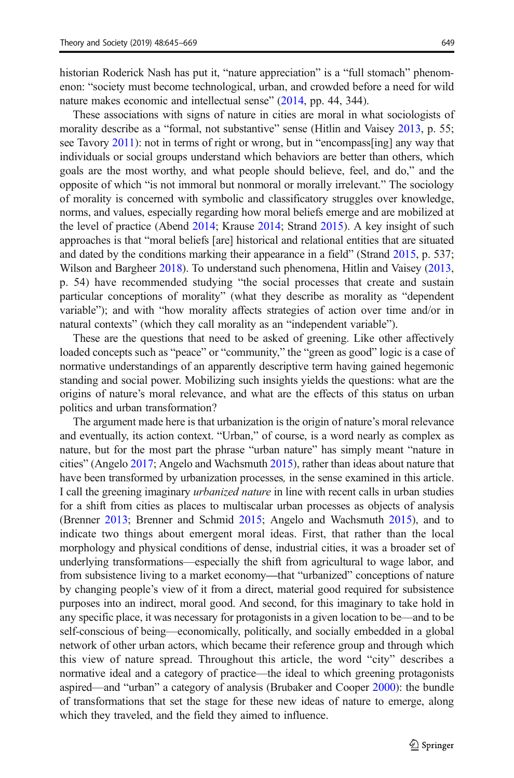historian Roderick Nash has put it, "nature appreciation" is a "full stomach" phenomenon: "society must become technological, urban, and crowded before a need for wild nature makes economic and intellectual sense" [\(2014,](#page-22-0) pp. 44, 344).

These associations with signs of nature in cities are moral in what sociologists of morality describe as a "formal, not substantive" sense (Hitlin and Vaisey [2013](#page-21-0), p. 55; see Tavory [2011](#page-23-0)): not in terms of right or wrong, but in "encompass[ing] any way that individuals or social groups understand which behaviors are better than others, which goals are the most worthy, and what people should believe, feel, and do," and the opposite of which "is not immoral but nonmoral or morally irrelevant." The sociology of morality is concerned with symbolic and classificatory struggles over knowledge, norms, and values, especially regarding how moral beliefs emerge and are mobilized at the level of practice (Abend [2014](#page-20-0); Krause [2014](#page-22-0); Strand [2015\)](#page-23-0). A key insight of such approaches is that "moral beliefs [are] historical and relational entities that are situated and dated by the conditions marking their appearance in a field" (Strand [2015,](#page-23-0) p. 537; Wilson and Bargheer [2018\)](#page-23-0). To understand such phenomena, Hitlin and Vaisey [\(2013,](#page-21-0) p. 54) have recommended studying "the social processes that create and sustain particular conceptions of morality" (what they describe as morality as "dependent variable"); and with "how morality affects strategies of action over time and/or in natural contexts" (which they call morality as an "independent variable").

These are the questions that need to be asked of greening. Like other affectively loaded concepts such as "peace" or "community," the "green as good" logic is a case of normative understandings of an apparently descriptive term having gained hegemonic standing and social power. Mobilizing such insights yields the questions: what are the origins of nature's moral relevance, and what are the effects of this status on urban politics and urban transformation?

The argument made here is that urbanization is the origin of nature's moral relevance and eventually, its action context. "Urban," of course, is a word nearly as complex as nature, but for the most part the phrase "urban nature" has simply meant "nature in cities" (Angelo [2017](#page-20-0); Angelo and Wachsmuth [2015\)](#page-20-0), rather than ideas about nature that have been transformed by urbanization processes, in the sense examined in this article. I call the greening imaginary urbanized nature in line with recent calls in urban studies for a shift from cities as places to multiscalar urban processes as objects of analysis (Brenner [2013](#page-20-0); Brenner and Schmid [2015](#page-20-0); Angelo and Wachsmuth [2015](#page-20-0)), and to indicate two things about emergent moral ideas. First, that rather than the local morphology and physical conditions of dense, industrial cities, it was a broader set of underlying transformations—especially the shift from agricultural to wage labor, and from subsistence living to a market economy—that "urbanized" conceptions of nature by changing people's view of it from a direct, material good required for subsistence purposes into an indirect, moral good. And second, for this imaginary to take hold in any specific place, it was necessary for protagonists in a given location to be—and to be self-conscious of being—economically, politically, and socially embedded in a global network of other urban actors, which became their reference group and through which this view of nature spread. Throughout this article, the word "city" describes a normative ideal and a category of practice—the ideal to which greening protagonists aspired—and "urban" a category of analysis (Brubaker and Cooper [2000](#page-20-0)): the bundle of transformations that set the stage for these new ideas of nature to emerge, along which they traveled, and the field they aimed to influence.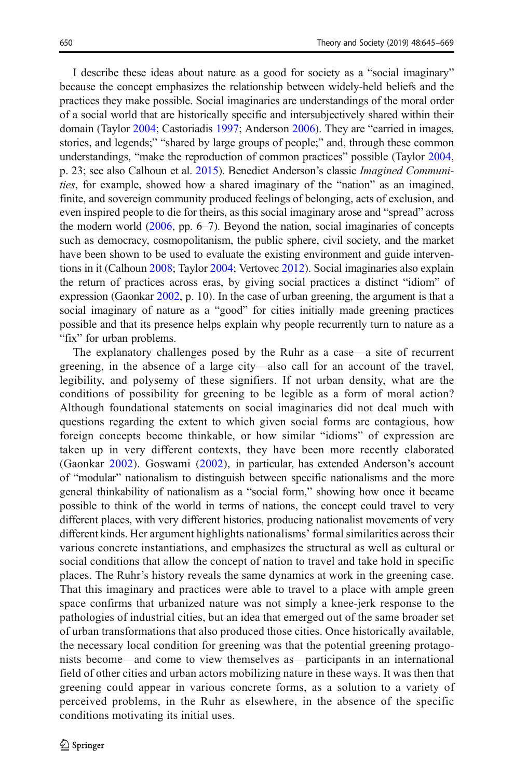I describe these ideas about nature as a good for society as a "social imaginary" because the concept emphasizes the relationship between widely-held beliefs and the practices they make possible. Social imaginaries are understandings of the moral order of a social world that are historically specific and intersubjectively shared within their domain (Taylor [2004](#page-23-0); Castoriadis [1997](#page-21-0); Anderson [2006\)](#page-20-0). They are "carried in images, stories, and legends;" "shared by large groups of people;" and, through these common understandings, "make the reproduction of common practices" possible (Taylor [2004,](#page-23-0) p. 23; see also Calhoun et al. [2015\)](#page-21-0). Benedict Anderson's classic Imagined Communities, for example, showed how a shared imaginary of the "nation" as an imagined, finite, and sovereign community produced feelings of belonging, acts of exclusion, and even inspired people to die for theirs, as this social imaginary arose and "spread" across the modern world ([2006](#page-20-0), pp. 6–7). Beyond the nation, social imaginaries of concepts such as democracy, cosmopolitanism, the public sphere, civil society, and the market have been shown to be used to evaluate the existing environment and guide interventions in it (Calhoun [2008](#page-20-0); Taylor [2004](#page-23-0); Vertovec [2012\)](#page-23-0). Social imaginaries also explain the return of practices across eras, by giving social practices a distinct "idiom" of expression (Gaonkar [2002,](#page-21-0) p. 10). In the case of urban greening, the argument is that a social imaginary of nature as a "good" for cities initially made greening practices possible and that its presence helps explain why people recurrently turn to nature as a "fix" for urban problems.

The explanatory challenges posed by the Ruhr as a case—a site of recurrent greening, in the absence of a large city—also call for an account of the travel, legibility, and polysemy of these signifiers. If not urban density, what are the conditions of possibility for greening to be legible as a form of moral action? Although foundational statements on social imaginaries did not deal much with questions regarding the extent to which given social forms are contagious, how foreign concepts become thinkable, or how similar "idioms" of expression are taken up in very different contexts, they have been more recently elaborated (Gaonkar [2002\)](#page-21-0). Goswami ([2002](#page-21-0)), in particular, has extended Anderson's account of "modular" nationalism to distinguish between specific nationalisms and the more general thinkability of nationalism as a "social form," showing how once it became possible to think of the world in terms of nations, the concept could travel to very different places, with very different histories, producing nationalist movements of very different kinds. Her argument highlights nationalisms' formal similarities across their various concrete instantiations, and emphasizes the structural as well as cultural or social conditions that allow the concept of nation to travel and take hold in specific places. The Ruhr's history reveals the same dynamics at work in the greening case. That this imaginary and practices were able to travel to a place with ample green space confirms that urbanized nature was not simply a knee-jerk response to the pathologies of industrial cities, but an idea that emerged out of the same broader set of urban transformations that also produced those cities. Once historically available, the necessary local condition for greening was that the potential greening protagonists become—and come to view themselves as—participants in an international field of other cities and urban actors mobilizing nature in these ways. It was then that greening could appear in various concrete forms, as a solution to a variety of perceived problems, in the Ruhr as elsewhere, in the absence of the specific conditions motivating its initial uses.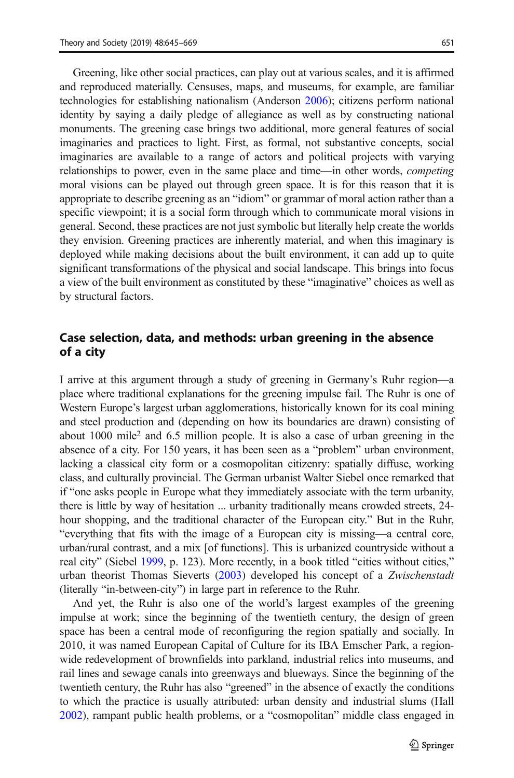Greening, like other social practices, can play out at various scales, and it is affirmed and reproduced materially. Censuses, maps, and museums, for example, are familiar technologies for establishing nationalism (Anderson [2006](#page-20-0)); citizens perform national identity by saying a daily pledge of allegiance as well as by constructing national monuments. The greening case brings two additional, more general features of social imaginaries and practices to light. First, as formal, not substantive concepts, social imaginaries are available to a range of actors and political projects with varying relationships to power, even in the same place and time—in other words, *competing* moral visions can be played out through green space. It is for this reason that it is appropriate to describe greening as an "idiom" or grammar of moral action rather than a specific viewpoint; it is a social form through which to communicate moral visions in general. Second, these practices are not just symbolic but literally help create the worlds they envision. Greening practices are inherently material, and when this imaginary is deployed while making decisions about the built environment, it can add up to quite significant transformations of the physical and social landscape. This brings into focus a view of the built environment as constituted by these "imaginative" choices as well as by structural factors.

# Case selection, data, and methods: urban greening in the absence of a city

I arrive at this argument through a study of greening in Germany's Ruhr region—a place where traditional explanations for the greening impulse fail. The Ruhr is one of Western Europe's largest urban agglomerations, historically known for its coal mining and steel production and (depending on how its boundaries are drawn) consisting of about  $1000$  mile<sup>2</sup> and 6.5 million people. It is also a case of urban greening in the absence of a city. For 150 years, it has been seen as a "problem" urban environment, lacking a classical city form or a cosmopolitan citizenry: spatially diffuse, working class, and culturally provincial. The German urbanist Walter Siebel once remarked that if "one asks people in Europe what they immediately associate with the term urbanity, there is little by way of hesitation ... urbanity traditionally means crowded streets, 24 hour shopping, and the traditional character of the European city." But in the Ruhr, "everything that fits with the image of a European city is missing—a central core, urban/rural contrast, and a mix [of functions]. This is urbanized countryside without a real city" (Siebel [1999,](#page-23-0) p. 123). More recently, in a book titled "cities without cities," urban theorist Thomas Sieverts [\(2003\)](#page-23-0) developed his concept of a Zwischenstadt (literally "in-between-city") in large part in reference to the Ruhr.

And yet, the Ruhr is also one of the world's largest examples of the greening impulse at work; since the beginning of the twentieth century, the design of green space has been a central mode of reconfiguring the region spatially and socially. In 2010, it was named European Capital of Culture for its IBA Emscher Park, a regionwide redevelopment of brownfields into parkland, industrial relics into museums, and rail lines and sewage canals into greenways and blueways. Since the beginning of the twentieth century, the Ruhr has also "greened" in the absence of exactly the conditions to which the practice is usually attributed: urban density and industrial slums (Hall [2002\)](#page-21-0), rampant public health problems, or a "cosmopolitan" middle class engaged in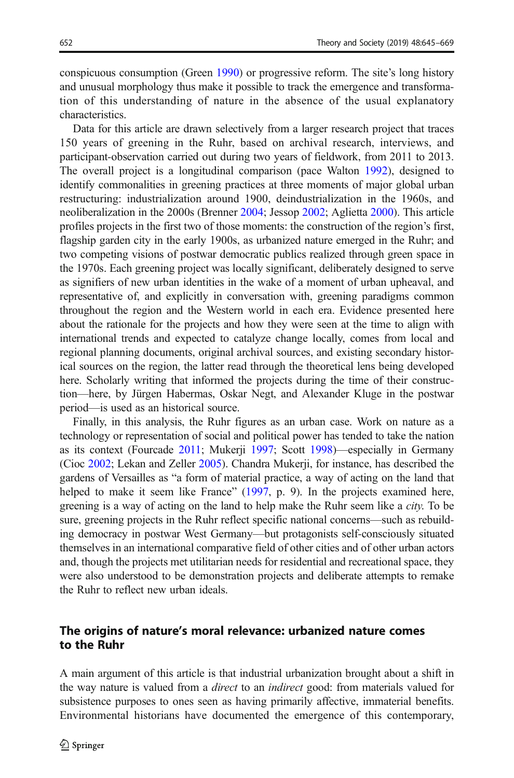conspicuous consumption (Green [1990](#page-21-0)) or progressive reform. The site's long history and unusual morphology thus make it possible to track the emergence and transformation of this understanding of nature in the absence of the usual explanatory characteristics.

Data for this article are drawn selectively from a larger research project that traces 150 years of greening in the Ruhr, based on archival research, interviews, and participant-observation carried out during two years of fieldwork, from 2011 to 2013. The overall project is a longitudinal comparison (pace Walton [1992\)](#page-23-0), designed to identify commonalities in greening practices at three moments of major global urban restructuring: industrialization around 1900, deindustrialization in the 1960s, and neoliberalization in the 2000s (Brenner [2004](#page-20-0); Jessop [2002](#page-22-0); Aglietta [2000](#page-20-0)). This article profiles projects in the first two of those moments: the construction of the region's first, flagship garden city in the early 1900s, as urbanized nature emerged in the Ruhr; and two competing visions of postwar democratic publics realized through green space in the 1970s. Each greening project was locally significant, deliberately designed to serve as signifiers of new urban identities in the wake of a moment of urban upheaval, and representative of, and explicitly in conversation with, greening paradigms common throughout the region and the Western world in each era. Evidence presented here about the rationale for the projects and how they were seen at the time to align with international trends and expected to catalyze change locally, comes from local and regional planning documents, original archival sources, and existing secondary historical sources on the region, the latter read through the theoretical lens being developed here. Scholarly writing that informed the projects during the time of their construction—here, by Jürgen Habermas, Oskar Negt, and Alexander Kluge in the postwar period—is used as an historical source.

Finally, in this analysis, the Ruhr figures as an urban case. Work on nature as a technology or representation of social and political power has tended to take the nation as its context (Fourcade [2011](#page-21-0); Mukerji [1997](#page-22-0); Scott [1998\)](#page-23-0)—especially in Germany (Cioc [2002;](#page-21-0) Lekan and Zeller [2005\)](#page-22-0). Chandra Mukerji, for instance, has described the gardens of Versailles as "a form of material practice, a way of acting on the land that helped to make it seem like France" [\(1997,](#page-22-0) p. 9). In the projects examined here, greening is a way of acting on the land to help make the Ruhr seem like a city. To be sure, greening projects in the Ruhr reflect specific national concerns—such as rebuilding democracy in postwar West Germany—but protagonists self-consciously situated themselves in an international comparative field of other cities and of other urban actors and, though the projects met utilitarian needs for residential and recreational space, they were also understood to be demonstration projects and deliberate attempts to remake the Ruhr to reflect new urban ideals.

## The origins of nature's moral relevance: urbanized nature comes to the Ruhr

A main argument of this article is that industrial urbanization brought about a shift in the way nature is valued from a *direct* to an *indirect* good: from materials valued for subsistence purposes to ones seen as having primarily affective, immaterial benefits. Environmental historians have documented the emergence of this contemporary,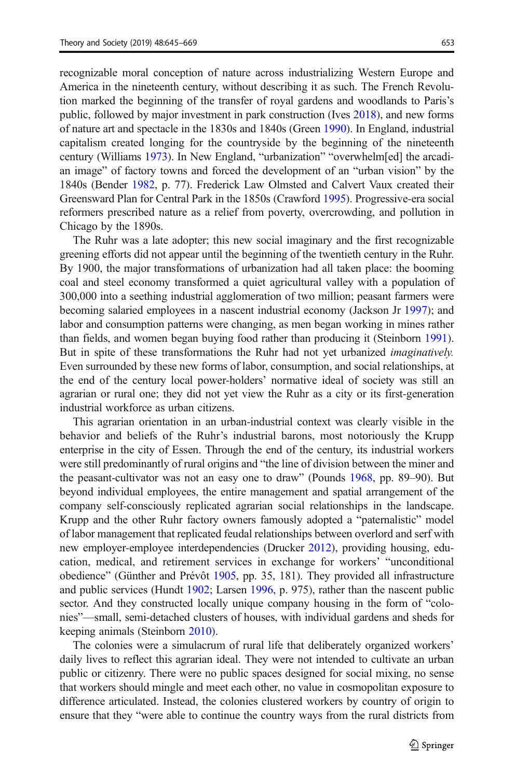recognizable moral conception of nature across industrializing Western Europe and America in the nineteenth century, without describing it as such. The French Revolution marked the beginning of the transfer of royal gardens and woodlands to Paris's public, followed by major investment in park construction (Ives [2018\)](#page-22-0), and new forms of nature art and spectacle in the 1830s and 1840s (Green [1990](#page-21-0)). In England, industrial capitalism created longing for the countryside by the beginning of the nineteenth century (Williams [1973](#page-23-0)). In New England, "urbanization" "overwhelm[ed] the arcadian image" of factory towns and forced the development of an "urban vision" by the 1840s (Bender [1982](#page-20-0), p. 77). Frederick Law Olmsted and Calvert Vaux created their Greensward Plan for Central Park in the 1850s (Crawford [1995\)](#page-21-0). Progressive-era social reformers prescribed nature as a relief from poverty, overcrowding, and pollution in Chicago by the 1890s.

The Ruhr was a late adopter; this new social imaginary and the first recognizable greening efforts did not appear until the beginning of the twentieth century in the Ruhr. By 1900, the major transformations of urbanization had all taken place: the booming coal and steel economy transformed a quiet agricultural valley with a population of 300,000 into a seething industrial agglomeration of two million; peasant farmers were becoming salaried employees in a nascent industrial economy (Jackson Jr [1997](#page-22-0)); and labor and consumption patterns were changing, as men began working in mines rather than fields, and women began buying food rather than producing it (Steinborn [1991\)](#page-23-0). But in spite of these transformations the Ruhr had not yet urbanized *imaginatively*. Even surrounded by these new forms of labor, consumption, and social relationships, at the end of the century local power-holders' normative ideal of society was still an agrarian or rural one; they did not yet view the Ruhr as a city or its first-generation industrial workforce as urban citizens.

This agrarian orientation in an urban-industrial context was clearly visible in the behavior and beliefs of the Ruhr's industrial barons, most notoriously the Krupp enterprise in the city of Essen. Through the end of the century, its industrial workers were still predominantly of rural origins and "the line of division between the miner and the peasant-cultivator was not an easy one to draw" (Pounds [1968,](#page-23-0) pp. 89–90). But beyond individual employees, the entire management and spatial arrangement of the company self-consciously replicated agrarian social relationships in the landscape. Krupp and the other Ruhr factory owners famously adopted a "paternalistic" model of labor management that replicated feudal relationships between overlord and serf with new employer-employee interdependencies (Drucker [2012](#page-21-0)), providing housing, education, medical, and retirement services in exchange for workers' "unconditional obedience" (Günther and Prévôt [1905,](#page-21-0) pp. 35, 181). They provided all infrastructure and public services (Hundt [1902](#page-22-0); Larsen [1996,](#page-22-0) p. 975), rather than the nascent public sector. And they constructed locally unique company housing in the form of "colonies"—small, semi-detached clusters of houses, with individual gardens and sheds for keeping animals (Steinborn [2010\)](#page-23-0).

The colonies were a simulacrum of rural life that deliberately organized workers' daily lives to reflect this agrarian ideal. They were not intended to cultivate an urban public or citizenry. There were no public spaces designed for social mixing, no sense that workers should mingle and meet each other, no value in cosmopolitan exposure to difference articulated. Instead, the colonies clustered workers by country of origin to ensure that they "were able to continue the country ways from the rural districts from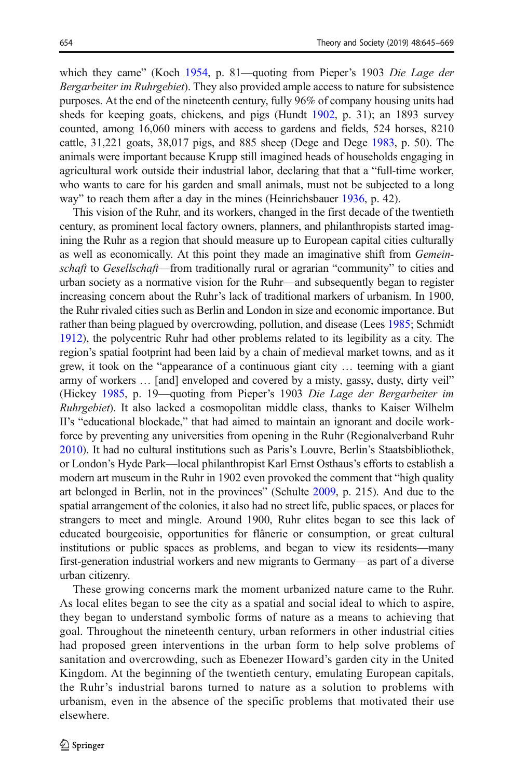which they came" (Koch [1954,](#page-22-0) p. 81—quoting from Pieper's 1903 Die Lage der Bergarbeiter im Ruhrgebiet). They also provided ample access to nature for subsistence purposes. At the end of the nineteenth century, fully 96% of company housing units had sheds for keeping goats, chickens, and pigs (Hundt [1902](#page-22-0), p. 31); an 1893 survey counted, among 16,060 miners with access to gardens and fields, 524 horses, 8210 cattle, 31,221 goats, 38,017 pigs, and 885 sheep (Dege and Dege [1983](#page-21-0), p. 50). The animals were important because Krupp still imagined heads of households engaging in agricultural work outside their industrial labor, declaring that that a "full-time worker, who wants to care for his garden and small animals, must not be subjected to a long way" to reach them after a day in the mines (Heinrichsbauer [1936,](#page-21-0) p. 42).

This vision of the Ruhr, and its workers, changed in the first decade of the twentieth century, as prominent local factory owners, planners, and philanthropists started imagining the Ruhr as a region that should measure up to European capital cities culturally as well as economically. At this point they made an imaginative shift from Gemeinschaft to Gesellschaft—from traditionally rural or agrarian "community" to cities and urban society as a normative vision for the Ruhr—and subsequently began to register increasing concern about the Ruhr's lack of traditional markers of urbanism. In 1900, the Ruhr rivaled cities such as Berlin and London in size and economic importance. But rather than being plagued by overcrowding, pollution, and disease (Lees [1985](#page-22-0); Schmidt [1912\)](#page-23-0), the polycentric Ruhr had other problems related to its legibility as a city. The region's spatial footprint had been laid by a chain of medieval market towns, and as it grew, it took on the "appearance of a continuous giant city … teeming with a giant army of workers … [and] enveloped and covered by a misty, gassy, dusty, dirty veil" (Hickey [1985,](#page-21-0) p. 19—quoting from Pieper's 1903 Die Lage der Bergarbeiter im Ruhrgebiet). It also lacked a cosmopolitan middle class, thanks to Kaiser Wilhelm II's "educational blockade," that had aimed to maintain an ignorant and docile workforce by preventing any universities from opening in the Ruhr (Regionalverband Ruhr [2010\)](#page-23-0). It had no cultural institutions such as Paris's Louvre, Berlin's Staatsbibliothek, or London's Hyde Park—local philanthropist Karl Ernst Osthaus's efforts to establish a modern art museum in the Ruhr in 1902 even provoked the comment that "high quality art belonged in Berlin, not in the provinces" (Schulte [2009](#page-23-0), p. 215). And due to the spatial arrangement of the colonies, it also had no street life, public spaces, or places for strangers to meet and mingle. Around 1900, Ruhr elites began to see this lack of educated bourgeoisie, opportunities for flânerie or consumption, or great cultural institutions or public spaces as problems, and began to view its residents—many first-generation industrial workers and new migrants to Germany—as part of a diverse urban citizenry.

These growing concerns mark the moment urbanized nature came to the Ruhr. As local elites began to see the city as a spatial and social ideal to which to aspire, they began to understand symbolic forms of nature as a means to achieving that goal. Throughout the nineteenth century, urban reformers in other industrial cities had proposed green interventions in the urban form to help solve problems of sanitation and overcrowding, such as Ebenezer Howard's garden city in the United Kingdom. At the beginning of the twentieth century, emulating European capitals, the Ruhr's industrial barons turned to nature as a solution to problems with urbanism, even in the absence of the specific problems that motivated their use elsewhere.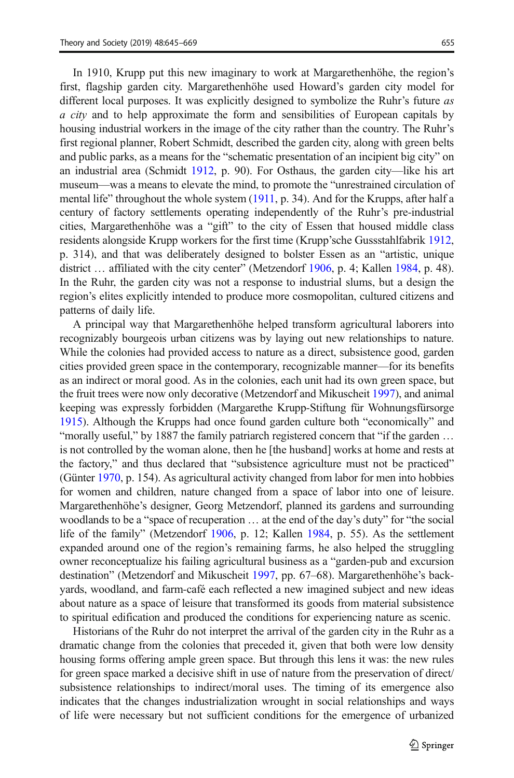In 1910, Krupp put this new imaginary to work at Margarethenhöhe, the region's first, flagship garden city. Margarethenhöhe used Howard's garden city model for different local purposes. It was explicitly designed to symbolize the Ruhr's future as a city and to help approximate the form and sensibilities of European capitals by housing industrial workers in the image of the city rather than the country. The Ruhr's first regional planner, Robert Schmidt, described the garden city, along with green belts and public parks, as a means for the "schematic presentation of an incipient big city" on an industrial area (Schmidt [1912,](#page-23-0) p. 90). For Osthaus, the garden city—like his art museum—was a means to elevate the mind, to promote the "unrestrained circulation of mental life" throughout the whole system [\(1911](#page-23-0), p. 34). And for the Krupps, after half a century of factory settlements operating independently of the Ruhr's pre-industrial cities, Margarethenhöhe was a "gift" to the city of Essen that housed middle class residents alongside Krupp workers for the first time (Krupp'sche Gussstahlfabrik [1912,](#page-22-0) p. 314), and that was deliberately designed to bolster Essen as an "artistic, unique district … affiliated with the city center" (Metzendorf [1906](#page-22-0), p. 4; Kallen [1984,](#page-22-0) p. 48). In the Ruhr, the garden city was not a response to industrial slums, but a design the region's elites explicitly intended to produce more cosmopolitan, cultured citizens and patterns of daily life.

A principal way that Margarethenhöhe helped transform agricultural laborers into recognizably bourgeois urban citizens was by laying out new relationships to nature. While the colonies had provided access to nature as a direct, subsistence good, garden cities provided green space in the contemporary, recognizable manner—for its benefits as an indirect or moral good. As in the colonies, each unit had its own green space, but the fruit trees were now only decorative (Metzendorf and Mikuscheit [1997\)](#page-22-0), and animal keeping was expressly forbidden (Margarethe Krupp-Stiftung für Wohnungsfürsorge [1915\)](#page-22-0). Although the Krupps had once found garden culture both "economically" and "morally useful," by 1887 the family patriarch registered concern that "if the garden … is not controlled by the woman alone, then he [the husband] works at home and rests at the factory," and thus declared that "subsistence agriculture must not be practiced" (Günter [1970,](#page-21-0) p. 154). As agricultural activity changed from labor for men into hobbies for women and children, nature changed from a space of labor into one of leisure. Margarethenhöhe's designer, Georg Metzendorf, planned its gardens and surrounding woodlands to be a "space of recuperation … at the end of the day's duty" for "the social life of the family" (Metzendorf [1906,](#page-22-0) p. 12; Kallen [1984](#page-22-0), p. 55). As the settlement expanded around one of the region's remaining farms, he also helped the struggling owner reconceptualize his failing agricultural business as a "garden-pub and excursion destination" (Metzendorf and Mikuscheit [1997](#page-22-0), pp. 67–68). Margarethenhöhe's backyards, woodland, and farm-café each reflected a new imagined subject and new ideas about nature as a space of leisure that transformed its goods from material subsistence to spiritual edification and produced the conditions for experiencing nature as scenic.

Historians of the Ruhr do not interpret the arrival of the garden city in the Ruhr as a dramatic change from the colonies that preceded it, given that both were low density housing forms offering ample green space. But through this lens it was: the new rules for green space marked a decisive shift in use of nature from the preservation of direct/ subsistence relationships to indirect/moral uses. The timing of its emergence also indicates that the changes industrialization wrought in social relationships and ways of life were necessary but not sufficient conditions for the emergence of urbanized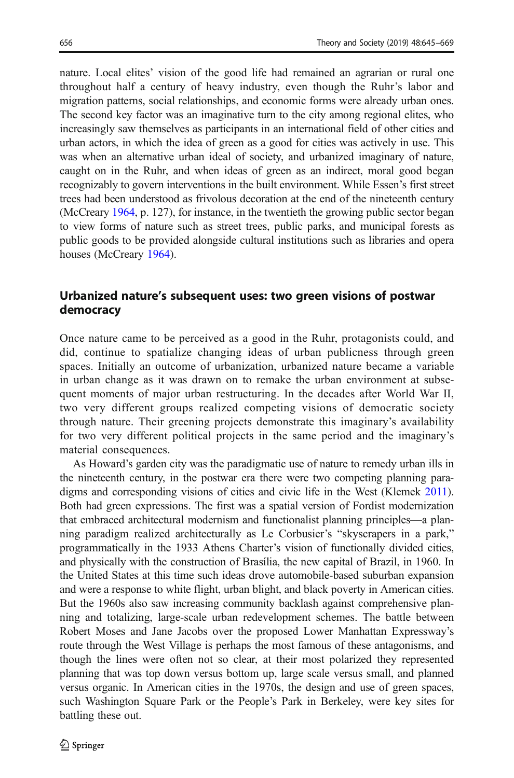nature. Local elites' vision of the good life had remained an agrarian or rural one throughout half a century of heavy industry, even though the Ruhr's labor and migration patterns, social relationships, and economic forms were already urban ones. The second key factor was an imaginative turn to the city among regional elites, who increasingly saw themselves as participants in an international field of other cities and urban actors, in which the idea of green as a good for cities was actively in use. This was when an alternative urban ideal of society, and urbanized imaginary of nature, caught on in the Ruhr, and when ideas of green as an indirect, moral good began recognizably to govern interventions in the built environment. While Essen's first street trees had been understood as frivolous decoration at the end of the nineteenth century (McCreary [1964](#page-22-0), p. 127), for instance, in the twentieth the growing public sector began to view forms of nature such as street trees, public parks, and municipal forests as public goods to be provided alongside cultural institutions such as libraries and opera houses (McCreary [1964](#page-22-0)).

# Urbanized nature's subsequent uses: two green visions of postwar democracy

Once nature came to be perceived as a good in the Ruhr, protagonists could, and did, continue to spatialize changing ideas of urban publicness through green spaces. Initially an outcome of urbanization, urbanized nature became a variable in urban change as it was drawn on to remake the urban environment at subsequent moments of major urban restructuring. In the decades after World War II, two very different groups realized competing visions of democratic society through nature. Their greening projects demonstrate this imaginary's availability for two very different political projects in the same period and the imaginary's material consequences.

As Howard's garden city was the paradigmatic use of nature to remedy urban ills in the nineteenth century, in the postwar era there were two competing planning paradigms and corresponding visions of cities and civic life in the West (Klemek [2011\)](#page-22-0). Both had green expressions. The first was a spatial version of Fordist modernization that embraced architectural modernism and functionalist planning principles—a planning paradigm realized architecturally as Le Corbusier's "skyscrapers in a park," programmatically in the 1933 Athens Charter's vision of functionally divided cities, and physically with the construction of Brasília, the new capital of Brazil, in 1960. In the United States at this time such ideas drove automobile-based suburban expansion and were a response to white flight, urban blight, and black poverty in American cities. But the 1960s also saw increasing community backlash against comprehensive planning and totalizing, large-scale urban redevelopment schemes. The battle between Robert Moses and Jane Jacobs over the proposed Lower Manhattan Expressway's route through the West Village is perhaps the most famous of these antagonisms, and though the lines were often not so clear, at their most polarized they represented planning that was top down versus bottom up, large scale versus small, and planned versus organic. In American cities in the 1970s, the design and use of green spaces, such Washington Square Park or the People's Park in Berkeley, were key sites for battling these out.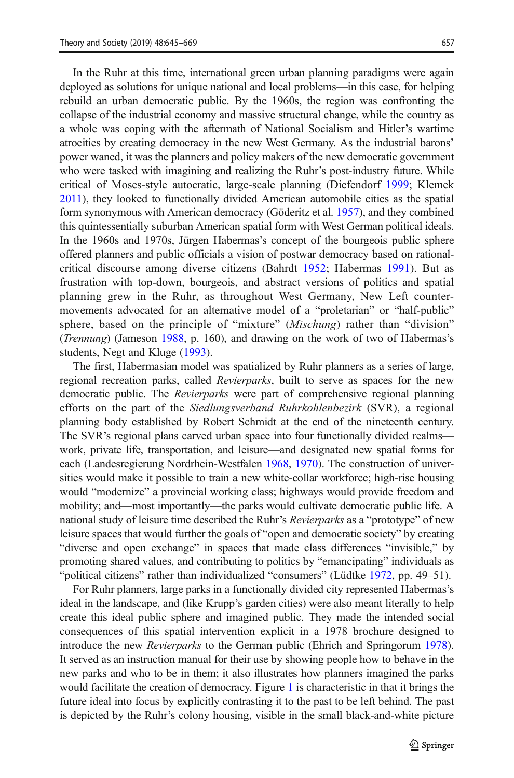In the Ruhr at this time, international green urban planning paradigms were again deployed as solutions for unique national and local problems—in this case, for helping rebuild an urban democratic public. By the 1960s, the region was confronting the collapse of the industrial economy and massive structural change, while the country as a whole was coping with the aftermath of National Socialism and Hitler's wartime atrocities by creating democracy in the new West Germany. As the industrial barons' power waned, it was the planners and policy makers of the new democratic government who were tasked with imagining and realizing the Ruhr's post-industry future. While critical of Moses-style autocratic, large-scale planning (Diefendorf [1999;](#page-21-0) Klemek [2011](#page-22-0)), they looked to functionally divided American automobile cities as the spatial form synonymous with American democracy (Göderitz et al. [1957](#page-21-0)), and they combined this quintessentially suburban American spatial form with West German political ideals. In the 1960s and 1970s, Jürgen Habermas's concept of the bourgeois public sphere offered planners and public officials a vision of postwar democracy based on rationalcritical discourse among diverse citizens (Bahrdt [1952;](#page-20-0) Habermas [1991\)](#page-21-0). But as frustration with top-down, bourgeois, and abstract versions of politics and spatial planning grew in the Ruhr, as throughout West Germany, New Left countermovements advocated for an alternative model of a "proletarian" or "half-public" sphere, based on the principle of "mixture" (Mischung) rather than "division" (Trennung) (Jameson [1988](#page-22-0), p. 160), and drawing on the work of two of Habermas's students, Negt and Kluge ([1993](#page-22-0)).

The first, Habermasian model was spatialized by Ruhr planners as a series of large, regional recreation parks, called *Revierparks*, built to serve as spaces for the new democratic public. The Revierparks were part of comprehensive regional planning efforts on the part of the Siedlungsverband Ruhrkohlenbezirk (SVR), a regional planning body established by Robert Schmidt at the end of the nineteenth century. The SVR's regional plans carved urban space into four functionally divided realms work, private life, transportation, and leisure—and designated new spatial forms for each (Landesregierung Nordrhein-Westfalen [1968,](#page-22-0) [1970\)](#page-22-0). The construction of universities would make it possible to train a new white-collar workforce; high-rise housing would "modernize" a provincial working class; highways would provide freedom and mobility; and—most importantly—the parks would cultivate democratic public life. A national study of leisure time described the Ruhr's Revierparks as a "prototype" of new leisure spaces that would further the goals of "open and democratic society" by creating "diverse and open exchange" in spaces that made class differences "invisible," by promoting shared values, and contributing to politics by "emancipating" individuals as "political citizens" rather than individualized "consumers" (Lüdtke [1972](#page-22-0), pp. 49–51).

For Ruhr planners, large parks in a functionally divided city represented Habermas's ideal in the landscape, and (like Krupp's garden cities) were also meant literally to help create this ideal public sphere and imagined public. They made the intended social consequences of this spatial intervention explicit in a 1978 brochure designed to introduce the new Revierparks to the German public (Ehrich and Springorum [1978\)](#page-21-0). It served as an instruction manual for their use by showing people how to behave in the new parks and who to be in them; it also illustrates how planners imagined the parks would facilitate the creation of democracy. Figure [1](#page-13-0) is characteristic in that it brings the future ideal into focus by explicitly contrasting it to the past to be left behind. The past is depicted by the Ruhr's colony housing, visible in the small black-and-white picture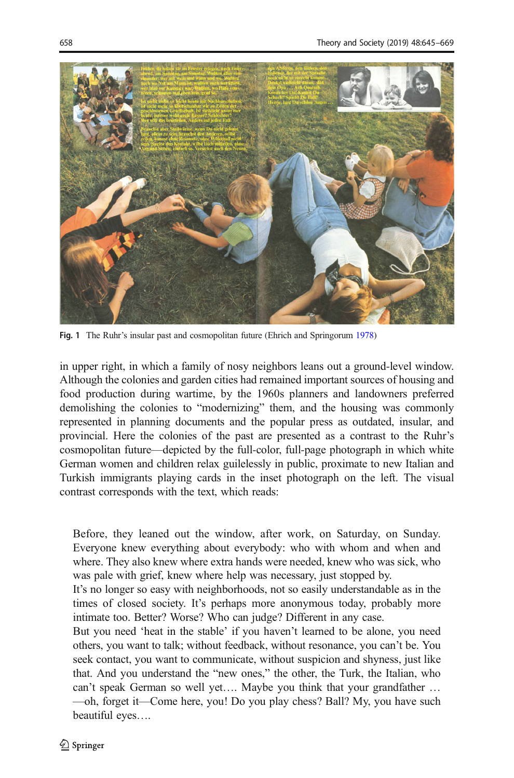<span id="page-13-0"></span>

Fig. 1 The Ruhr's insular past and cosmopolitan future (Ehrich and Springorum [1978\)](#page-21-0)

in upper right, in which a family of nosy neighbors leans out a ground-level window. Although the colonies and garden cities had remained important sources of housing and food production during wartime, by the 1960s planners and landowners preferred demolishing the colonies to "modernizing" them, and the housing was commonly represented in planning documents and the popular press as outdated, insular, and provincial. Here the colonies of the past are presented as a contrast to the Ruhr's cosmopolitan future—depicted by the full-color, full-page photograph in which white German women and children relax guilelessly in public, proximate to new Italian and Turkish immigrants playing cards in the inset photograph on the left. The visual contrast corresponds with the text, which reads:

Before, they leaned out the window, after work, on Saturday, on Sunday. Everyone knew everything about everybody: who with whom and when and where. They also knew where extra hands were needed, knew who was sick, who was pale with grief, knew where help was necessary, just stopped by.

It's no longer so easy with neighborhoods, not so easily understandable as in the times of closed society. It's perhaps more anonymous today, probably more intimate too. Better? Worse? Who can judge? Different in any case.

But you need 'heat in the stable' if you haven't learned to be alone, you need others, you want to talk; without feedback, without resonance, you can't be. You seek contact, you want to communicate, without suspicion and shyness, just like that. And you understand the "new ones," the other, the Turk, the Italian, who can't speak German so well yet…. Maybe you think that your grandfather … —oh, forget it—Come here, you! Do you play chess? Ball? My, you have such beautiful eyes….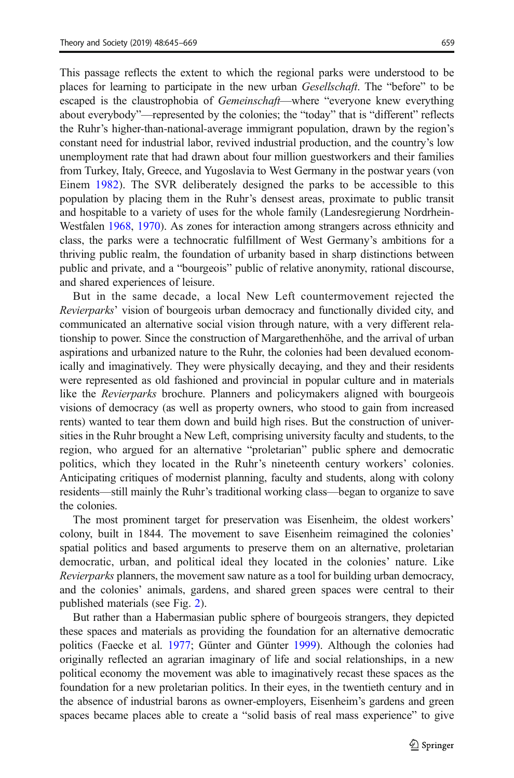This passage reflects the extent to which the regional parks were understood to be places for learning to participate in the new urban Gesellschaft. The "before" to be escaped is the claustrophobia of *Gemeinschaft*—where "everyone knew everything about everybody"—represented by the colonies; the "today" that is "different" reflects the Ruhr's higher-than-national-average immigrant population, drawn by the region's constant need for industrial labor, revived industrial production, and the country's low unemployment rate that had drawn about four million guestworkers and their families from Turkey, Italy, Greece, and Yugoslavia to West Germany in the postwar years (von Einem [1982\)](#page-23-0). The SVR deliberately designed the parks to be accessible to this population by placing them in the Ruhr's densest areas, proximate to public transit and hospitable to a variety of uses for the whole family (Landesregierung Nordrhein-Westfalen [1968,](#page-22-0) [1970](#page-22-0)). As zones for interaction among strangers across ethnicity and class, the parks were a technocratic fulfillment of West Germany's ambitions for a thriving public realm, the foundation of urbanity based in sharp distinctions between public and private, and a "bourgeois" public of relative anonymity, rational discourse, and shared experiences of leisure.

But in the same decade, a local New Left countermovement rejected the Revierparks' vision of bourgeois urban democracy and functionally divided city, and communicated an alternative social vision through nature, with a very different relationship to power. Since the construction of Margarethenhöhe, and the arrival of urban aspirations and urbanized nature to the Ruhr, the colonies had been devalued economically and imaginatively. They were physically decaying, and they and their residents were represented as old fashioned and provincial in popular culture and in materials like the Revierparks brochure. Planners and policymakers aligned with bourgeois visions of democracy (as well as property owners, who stood to gain from increased rents) wanted to tear them down and build high rises. But the construction of universities in the Ruhr brought a New Left, comprising university faculty and students, to the region, who argued for an alternative "proletarian" public sphere and democratic politics, which they located in the Ruhr's nineteenth century workers' colonies. Anticipating critiques of modernist planning, faculty and students, along with colony residents—still mainly the Ruhr's traditional working class—began to organize to save the colonies.

The most prominent target for preservation was Eisenheim, the oldest workers' colony, built in 1844. The movement to save Eisenheim reimagined the colonies' spatial politics and based arguments to preserve them on an alternative, proletarian democratic, urban, and political ideal they located in the colonies' nature. Like Revierparks planners, the movement saw nature as a tool for building urban democracy, and the colonies' animals, gardens, and shared green spaces were central to their published materials (see Fig. [2](#page-15-0)).

But rather than a Habermasian public sphere of bourgeois strangers, they depicted these spaces and materials as providing the foundation for an alternative democratic politics (Faecke et al. [1977](#page-21-0); Günter and Günter [1999](#page-21-0)). Although the colonies had originally reflected an agrarian imaginary of life and social relationships, in a new political economy the movement was able to imaginatively recast these spaces as the foundation for a new proletarian politics. In their eyes, in the twentieth century and in the absence of industrial barons as owner-employers, Eisenheim's gardens and green spaces became places able to create a "solid basis of real mass experience" to give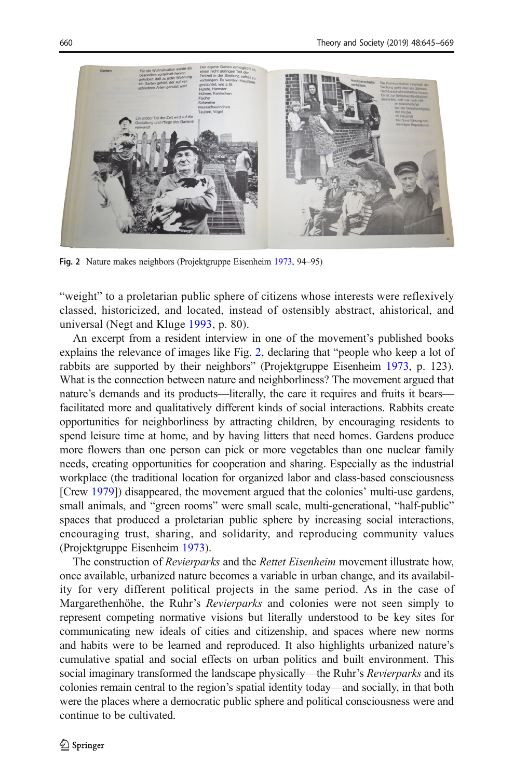<span id="page-15-0"></span>

Fig. 2 Nature makes neighbors (Projektgruppe Eisenheim [1973,](#page-23-0) 94–95)

"weight" to a proletarian public sphere of citizens whose interests were reflexively classed, historicized, and located, instead of ostensibly abstract, ahistorical, and universal (Negt and Kluge [1993,](#page-22-0) p. 80).

An excerpt from a resident interview in one of the movement's published books explains the relevance of images like Fig. 2, declaring that "people who keep a lot of rabbits are supported by their neighbors" (Projektgruppe Eisenheim [1973,](#page-23-0) p. 123). What is the connection between nature and neighborliness? The movement argued that nature's demands and its products—literally, the care it requires and fruits it bears facilitated more and qualitatively different kinds of social interactions. Rabbits create opportunities for neighborliness by attracting children, by encouraging residents to spend leisure time at home, and by having litters that need homes. Gardens produce more flowers than one person can pick or more vegetables than one nuclear family needs, creating opportunities for cooperation and sharing. Especially as the industrial workplace (the traditional location for organized labor and class-based consciousness [Crew [1979\]](#page-21-0)) disappeared, the movement argued that the colonies' multi-use gardens, small animals, and "green rooms" were small scale, multi-generational, "half-public" spaces that produced a proletarian public sphere by increasing social interactions, encouraging trust, sharing, and solidarity, and reproducing community values (Projektgruppe Eisenheim [1973](#page-23-0)).

The construction of *Revierparks* and the *Rettet Eisenheim* movement illustrate how, once available, urbanized nature becomes a variable in urban change, and its availability for very different political projects in the same period. As in the case of Margarethenhöhe, the Ruhr's *Revierparks* and colonies were not seen simply to represent competing normative visions but literally understood to be key sites for communicating new ideals of cities and citizenship, and spaces where new norms and habits were to be learned and reproduced. It also highlights urbanized nature's cumulative spatial and social effects on urban politics and built environment. This social imaginary transformed the landscape physically—the Ruhr's *Revierparks* and its colonies remain central to the region's spatial identity today—and socially, in that both were the places where a democratic public sphere and political consciousness were and continue to be cultivated.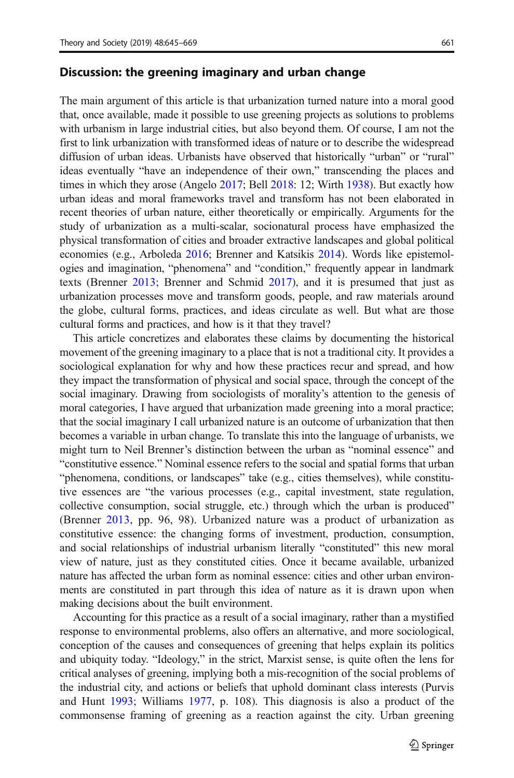#### Discussion: the greening imaginary and urban change

The main argument of this article is that urbanization turned nature into a moral good that, once available, made it possible to use greening projects as solutions to problems with urbanism in large industrial cities, but also beyond them. Of course, I am not the first to link urbanization with transformed ideas of nature or to describe the widespread diffusion of urban ideas. Urbanists have observed that historically "urban" or "rural" ideas eventually "have an independence of their own," transcending the places and times in which they arose (Angelo [2017](#page-20-0); Bell [2018](#page-20-0): 12; Wirth [1938\)](#page-23-0). But exactly how urban ideas and moral frameworks travel and transform has not been elaborated in recent theories of urban nature, either theoretically or empirically. Arguments for the study of urbanization as a multi-scalar, socionatural process have emphasized the physical transformation of cities and broader extractive landscapes and global political economies (e.g., Arboleda [2016](#page-20-0); Brenner and Katsikis [2014\)](#page-20-0). Words like epistemologies and imagination, "phenomena" and "condition," frequently appear in landmark texts (Brenner [2013](#page-20-0); Brenner and Schmid [2017\)](#page-20-0), and it is presumed that just as urbanization processes move and transform goods, people, and raw materials around the globe, cultural forms, practices, and ideas circulate as well. But what are those cultural forms and practices, and how is it that they travel?

This article concretizes and elaborates these claims by documenting the historical movement of the greening imaginary to a place that is not a traditional city. It provides a sociological explanation for why and how these practices recur and spread, and how they impact the transformation of physical and social space, through the concept of the social imaginary. Drawing from sociologists of morality's attention to the genesis of moral categories, I have argued that urbanization made greening into a moral practice; that the social imaginary I call urbanized nature is an outcome of urbanization that then becomes a variable in urban change. To translate this into the language of urbanists, we might turn to Neil Brenner's distinction between the urban as "nominal essence" and "constitutive essence." Nominal essence refers to the social and spatial forms that urban "phenomena, conditions, or landscapes" take (e.g., cities themselves), while constitutive essences are "the various processes (e.g., capital investment, state regulation, collective consumption, social struggle, etc.) through which the urban is produced" (Brenner [2013](#page-20-0), pp. 96, 98). Urbanized nature was a product of urbanization as constitutive essence: the changing forms of investment, production, consumption, and social relationships of industrial urbanism literally "constituted" this new moral view of nature, just as they constituted cities. Once it became available, urbanized nature has affected the urban form as nominal essence: cities and other urban environments are constituted in part through this idea of nature as it is drawn upon when making decisions about the built environment.

Accounting for this practice as a result of a social imaginary, rather than a mystified response to environmental problems, also offers an alternative, and more sociological, conception of the causes and consequences of greening that helps explain its politics and ubiquity today. "Ideology," in the strict, Marxist sense, is quite often the lens for critical analyses of greening, implying both a mis-recognition of the social problems of the industrial city, and actions or beliefs that uphold dominant class interests (Purvis and Hunt [1993](#page-23-0); Williams [1977](#page-23-0), p. 108). This diagnosis is also a product of the commonsense framing of greening as a reaction against the city. Urban greening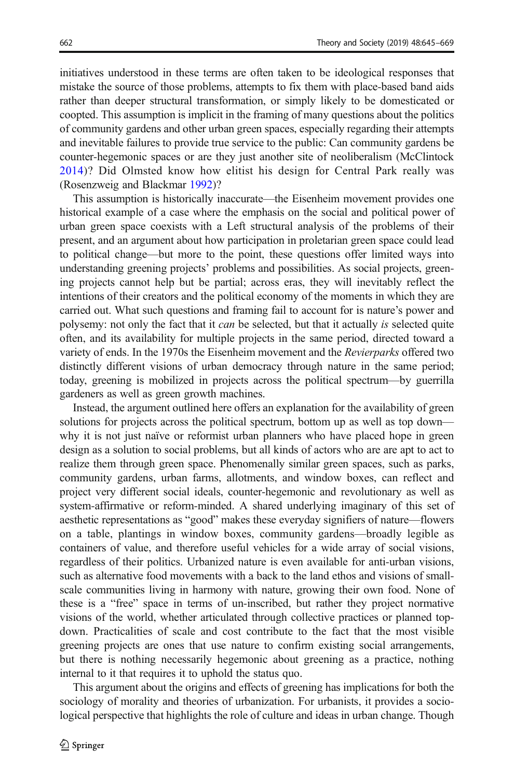initiatives understood in these terms are often taken to be ideological responses that mistake the source of those problems, attempts to fix them with place-based band aids rather than deeper structural transformation, or simply likely to be domesticated or coopted. This assumption is implicit in the framing of many questions about the politics of community gardens and other urban green spaces, especially regarding their attempts and inevitable failures to provide true service to the public: Can community gardens be counter-hegemonic spaces or are they just another site of neoliberalism (McClintock [2014\)](#page-22-0)? Did Olmsted know how elitist his design for Central Park really was (Rosenzweig and Blackmar [1992\)](#page-23-0)?

This assumption is historically inaccurate—the Eisenheim movement provides one historical example of a case where the emphasis on the social and political power of urban green space coexists with a Left structural analysis of the problems of their present, and an argument about how participation in proletarian green space could lead to political change—but more to the point, these questions offer limited ways into understanding greening projects' problems and possibilities. As social projects, greening projects cannot help but be partial; across eras, they will inevitably reflect the intentions of their creators and the political economy of the moments in which they are carried out. What such questions and framing fail to account for is nature's power and polysemy: not only the fact that it *can* be selected, but that it actually is selected quite often, and its availability for multiple projects in the same period, directed toward a variety of ends. In the 1970s the Eisenheim movement and the Revierparks offered two distinctly different visions of urban democracy through nature in the same period; today, greening is mobilized in projects across the political spectrum—by guerrilla gardeners as well as green growth machines.

Instead, the argument outlined here offers an explanation for the availability of green solutions for projects across the political spectrum, bottom up as well as top down why it is not just naïve or reformist urban planners who have placed hope in green design as a solution to social problems, but all kinds of actors who are are apt to act to realize them through green space. Phenomenally similar green spaces, such as parks, community gardens, urban farms, allotments, and window boxes, can reflect and project very different social ideals, counter-hegemonic and revolutionary as well as system-affirmative or reform-minded. A shared underlying imaginary of this set of aesthetic representations as "good" makes these everyday signifiers of nature—flowers on a table, plantings in window boxes, community gardens—broadly legible as containers of value, and therefore useful vehicles for a wide array of social visions, regardless of their politics. Urbanized nature is even available for anti-urban visions, such as alternative food movements with a back to the land ethos and visions of smallscale communities living in harmony with nature, growing their own food. None of these is a "free" space in terms of un-inscribed, but rather they project normative visions of the world, whether articulated through collective practices or planned topdown. Practicalities of scale and cost contribute to the fact that the most visible greening projects are ones that use nature to confirm existing social arrangements, but there is nothing necessarily hegemonic about greening as a practice, nothing internal to it that requires it to uphold the status quo.

This argument about the origins and effects of greening has implications for both the sociology of morality and theories of urbanization. For urbanists, it provides a sociological perspective that highlights the role of culture and ideas in urban change. Though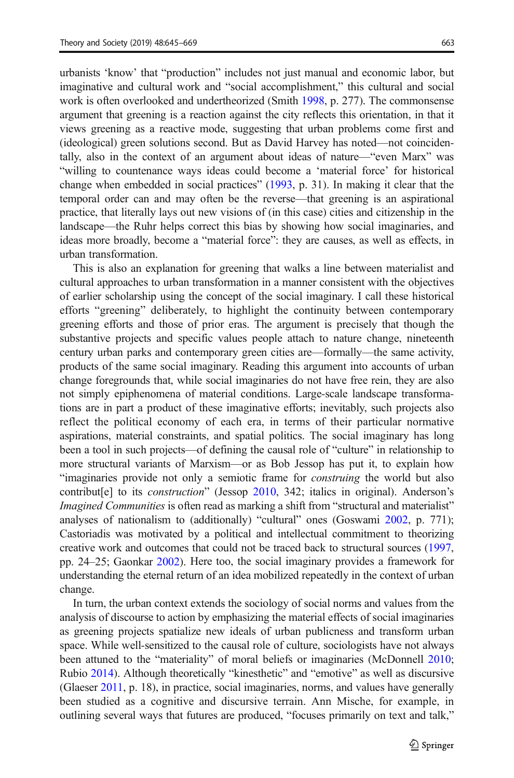urbanists 'know' that "production" includes not just manual and economic labor, but imaginative and cultural work and "social accomplishment," this cultural and social work is often overlooked and undertheorized (Smith [1998](#page-23-0), p. 277). The commonsense argument that greening is a reaction against the city reflects this orientation, in that it views greening as a reactive mode, suggesting that urban problems come first and (ideological) green solutions second. But as David Harvey has noted—not coincidentally, also in the context of an argument about ideas of nature—"even Marx" was "willing to countenance ways ideas could become a 'material force' for historical change when embedded in social practices" ([1993](#page-21-0), p. 31). In making it clear that the temporal order can and may often be the reverse—that greening is an aspirational practice, that literally lays out new visions of (in this case) cities and citizenship in the landscape—the Ruhr helps correct this bias by showing how social imaginaries, and ideas more broadly, become a "material force": they are causes, as well as effects, in urban transformation.

This is also an explanation for greening that walks a line between materialist and cultural approaches to urban transformation in a manner consistent with the objectives of earlier scholarship using the concept of the social imaginary. I call these historical efforts "greening" deliberately, to highlight the continuity between contemporary greening efforts and those of prior eras. The argument is precisely that though the substantive projects and specific values people attach to nature change, nineteenth century urban parks and contemporary green cities are—formally—the same activity, products of the same social imaginary. Reading this argument into accounts of urban change foregrounds that, while social imaginaries do not have free rein, they are also not simply epiphenomena of material conditions. Large-scale landscape transformations are in part a product of these imaginative efforts; inevitably, such projects also reflect the political economy of each era, in terms of their particular normative aspirations, material constraints, and spatial politics. The social imaginary has long been a tool in such projects—of defining the causal role of "culture" in relationship to more structural variants of Marxism—or as Bob Jessop has put it, to explain how "imaginaries provide not only a semiotic frame for construing the world but also contribut[e] to its construction" (Jessop [2010](#page-22-0), 342; italics in original). Anderson's Imagined Communities is often read as marking a shift from "structural and materialist" analyses of nationalism to (additionally) "cultural" ones (Goswami [2002,](#page-21-0) p. 771); Castoriadis was motivated by a political and intellectual commitment to theorizing creative work and outcomes that could not be traced back to structural sources [\(1997,](#page-21-0) pp. 24–25; Gaonkar [2002\)](#page-21-0). Here too, the social imaginary provides a framework for understanding the eternal return of an idea mobilized repeatedly in the context of urban change.

In turn, the urban context extends the sociology of social norms and values from the analysis of discourse to action by emphasizing the material effects of social imaginaries as greening projects spatialize new ideals of urban publicness and transform urban space. While well-sensitized to the causal role of culture, sociologists have not always been attuned to the "materiality" of moral beliefs or imaginaries (McDonnell [2010;](#page-22-0) Rubio [2014](#page-23-0)). Although theoretically "kinesthetic" and "emotive" as well as discursive (Glaeser [2011](#page-21-0), p. 18), in practice, social imaginaries, norms, and values have generally been studied as a cognitive and discursive terrain. Ann Mische, for example, in outlining several ways that futures are produced, "focuses primarily on text and talk,"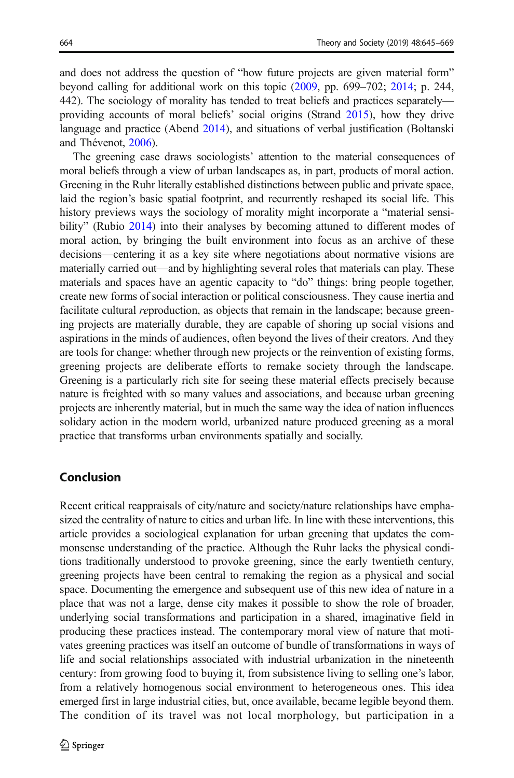and does not address the question of "how future projects are given material form" beyond calling for additional work on this topic ([2009](#page-22-0), pp. 699–702; [2014;](#page-22-0) p. 244, 442). The sociology of morality has tended to treat beliefs and practices separately providing accounts of moral beliefs' social origins (Strand [2015\)](#page-23-0), how they drive language and practice (Abend [2014\)](#page-20-0), and situations of verbal justification (Boltanski and Thévenot, [2006\)](#page-20-0).

The greening case draws sociologists' attention to the material consequences of moral beliefs through a view of urban landscapes as, in part, products of moral action. Greening in the Ruhr literally established distinctions between public and private space, laid the region's basic spatial footprint, and recurrently reshaped its social life. This history previews ways the sociology of morality might incorporate a "material sensibility" (Rubio [2014](#page-23-0)) into their analyses by becoming attuned to different modes of moral action, by bringing the built environment into focus as an archive of these decisions—centering it as a key site where negotiations about normative visions are materially carried out—and by highlighting several roles that materials can play. These materials and spaces have an agentic capacity to "do" things: bring people together, create new forms of social interaction or political consciousness. They cause inertia and facilitate cultural *reproduction*, as objects that remain in the landscape; because greening projects are materially durable, they are capable of shoring up social visions and aspirations in the minds of audiences, often beyond the lives of their creators. And they are tools for change: whether through new projects or the reinvention of existing forms, greening projects are deliberate efforts to remake society through the landscape. Greening is a particularly rich site for seeing these material effects precisely because nature is freighted with so many values and associations, and because urban greening projects are inherently material, but in much the same way the idea of nation influences solidary action in the modern world, urbanized nature produced greening as a moral practice that transforms urban environments spatially and socially.

### Conclusion

Recent critical reappraisals of city/nature and society/nature relationships have emphasized the centrality of nature to cities and urban life. In line with these interventions, this article provides a sociological explanation for urban greening that updates the commonsense understanding of the practice. Although the Ruhr lacks the physical conditions traditionally understood to provoke greening, since the early twentieth century, greening projects have been central to remaking the region as a physical and social space. Documenting the emergence and subsequent use of this new idea of nature in a place that was not a large, dense city makes it possible to show the role of broader, underlying social transformations and participation in a shared, imaginative field in producing these practices instead. The contemporary moral view of nature that motivates greening practices was itself an outcome of bundle of transformations in ways of life and social relationships associated with industrial urbanization in the nineteenth century: from growing food to buying it, from subsistence living to selling one's labor, from a relatively homogenous social environment to heterogeneous ones. This idea emerged first in large industrial cities, but, once available, became legible beyond them. The condition of its travel was not local morphology, but participation in a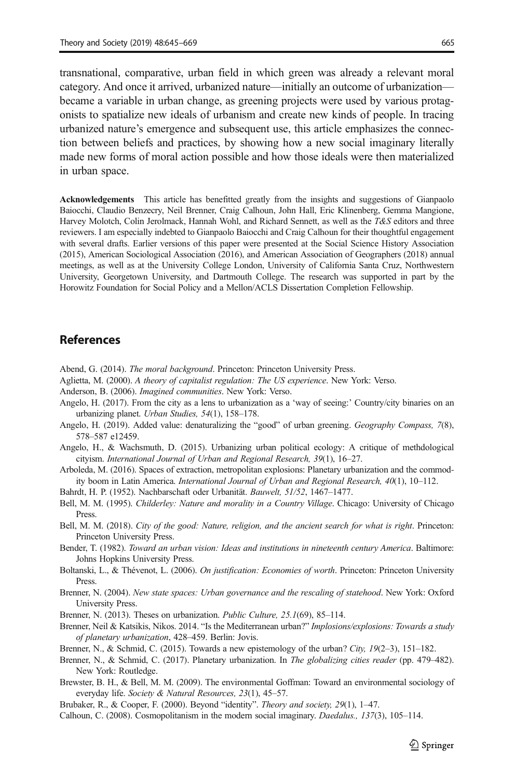<span id="page-20-0"></span>transnational, comparative, urban field in which green was already a relevant moral category. And once it arrived, urbanized nature—initially an outcome of urbanization became a variable in urban change, as greening projects were used by various protagonists to spatialize new ideals of urbanism and create new kinds of people. In tracing urbanized nature's emergence and subsequent use, this article emphasizes the connection between beliefs and practices, by showing how a new social imaginary literally made new forms of moral action possible and how those ideals were then materialized in urban space.

Acknowledgements This article has benefitted greatly from the insights and suggestions of Gianpaolo Baiocchi, Claudio Benzecry, Neil Brenner, Craig Calhoun, John Hall, Eric Klinenberg, Gemma Mangione, Harvey Molotch, Colin Jerolmack, Hannah Wohl, and Richard Sennett, as well as the T&S editors and three reviewers. I am especially indebted to Gianpaolo Baiocchi and Craig Calhoun for their thoughtful engagement with several drafts. Earlier versions of this paper were presented at the Social Science History Association (2015), American Sociological Association (2016), and American Association of Geographers (2018) annual meetings, as well as at the University College London, University of California Santa Cruz, Northwestern University, Georgetown University, and Dartmouth College. The research was supported in part by the Horowitz Foundation for Social Policy and a Mellon/ACLS Dissertation Completion Fellowship.

### References

Abend, G. (2014). The moral background. Princeton: Princeton University Press.

- Aglietta, M. (2000). A theory of capitalist regulation: The US experience. New York: Verso.
- Anderson, B. (2006). Imagined communities. New York: Verso.
- Angelo, H. (2017). From the city as a lens to urbanization as a 'way of seeing:' Country/city binaries on an urbanizing planet. Urban Studies, 54(1), 158–178.
- Angelo, H. (2019). Added value: denaturalizing the "good" of urban greening. Geography Compass, 7(8), 578–587 e12459.
- Angelo, H., & Wachsmuth, D. (2015). Urbanizing urban political ecology: A critique of methdological cityism. International Journal of Urban and Regional Research, 39(1), 16–27.
- Arboleda, M. (2016). Spaces of extraction, metropolitan explosions: Planetary urbanization and the commodity boom in Latin America. International Journal of Urban and Regional Research, 40(1), 10–112.
- Bahrdt, H. P. (1952). Nachbarschaft oder Urbanität. Bauwelt, 51/52, 1467–1477.
- Bell, M. M. (1995). Childerley: Nature and morality in a Country Village. Chicago: University of Chicago Press.
- Bell, M. M. (2018). City of the good: Nature, religion, and the ancient search for what is right. Princeton: Princeton University Press.
- Bender, T. (1982). Toward an urban vision: Ideas and institutions in nineteenth century America. Baltimore: Johns Hopkins University Press.
- Boltanski, L., & Thévenot, L. (2006). On justification: Economies of worth. Princeton: Princeton University Press.
- Brenner, N. (2004). New state spaces: Urban governance and the rescaling of statehood. New York: Oxford University Press.
- Brenner, N. (2013). Theses on urbanization. *Public Culture*, 25.1(69), 85–114.
- Brenner, Neil & Katsikis, Nikos. 2014. "Is the Mediterranean urban?" Implosions/explosions: Towards a study of planetary urbanization, 428–459. Berlin: Jovis.
- Brenner, N., & Schmid, C. (2015). Towards a new epistemology of the urban? City, 19(2–3), 151–182.
- Brenner, N., & Schmid, C. (2017). Planetary urbanization. In The globalizing cities reader (pp. 479–482). New York: Routledge.
- Brewster, B. H., & Bell, M. M. (2009). The environmental Goffman: Toward an environmental sociology of everyday life. Society & Natural Resources, 23(1), 45–57.
- Brubaker, R., & Cooper, F. (2000). Beyond "identity". Theory and society, 29(1), 1–47.
- Calhoun, C. (2008). Cosmopolitanism in the modern social imaginary. Daedalus., 137(3), 105–114.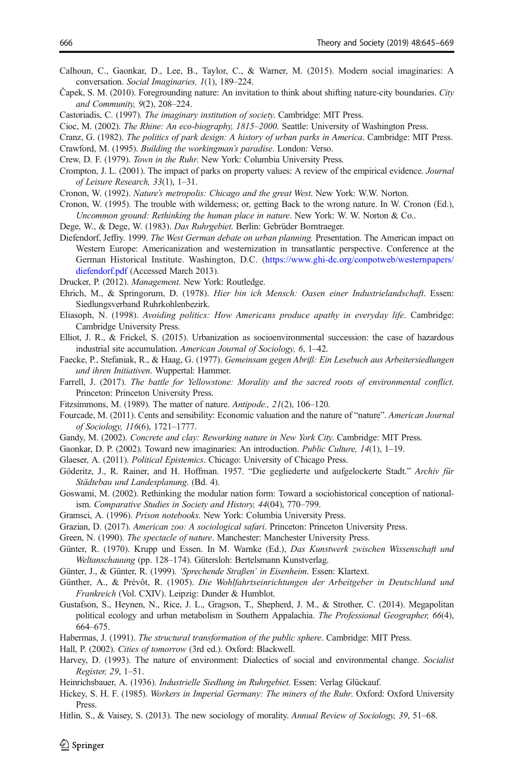- <span id="page-21-0"></span>Calhoun, C., Gaonkar, D., Lee, B., Taylor, C., & Warner, M. (2015). Modern social imaginaries: A conversation. Social Imaginaries, 1(1), 189–224.
- Čapek, S. M. (2010). Foregrounding nature: An invitation to think about shifting nature-city boundaries. City and Community, 9(2), 208–224.

Cioc, M. (2002). The Rhine: An eco-biography, 1815–2000. Seattle: University of Washington Press.

Cranz, G. (1982). The politics of park design: A history of urban parks in America. Cambridge: MIT Press.

Crawford, M. (1995). Building the workingman's paradise. London: Verso.

Crew, D. F. (1979). Town in the Ruhr. New York: Columbia University Press.

- Crompton, J. L. (2001). The impact of parks on property values: A review of the empirical evidence. Journal of Leisure Research, 33(1), 1–31.
- Cronon, W. (1992). Nature's metropolis: Chicago and the great West. New York: W.W. Norton.
- Cronon, W. (1995). The trouble with wilderness; or, getting Back to the wrong nature. In W. Cronon (Ed.), Uncommon ground: Rethinking the human place in nature. New York: W. W. Norton & Co..
- Dege, W., & Dege, W. (1983). Das Ruhrgebiet. Berlin: Gebrüder Borntraeger.
- Diefendorf, Jeffry. 1999. The West German debate on urban planning. Presentation. The American impact on Western Europe: Americanization and westernization in transatlantic perspective. Conference at the German Historical Institute. Washington, D.C. ([https://www.ghi-dc.org/conpotweb/westernpapers/](https://www.ghi-dc.org/conpotweb/westernpapers/diefendorf.pdf) [diefendorf.pdf](https://www.ghi-dc.org/conpotweb/westernpapers/diefendorf.pdf) (Accessed March 2013).

Drucker, P. (2012). Management. New York: Routledge.

- Ehrich, M., & Springorum, D. (1978). Hier bin ich Mensch: Oasen einer Industrielandschaft. Essen: Siedlungsverband Ruhrkohlenbezirk.
- Eliasoph, N. (1998). Avoiding politics: How Americans produce apathy in everyday life. Cambridge: Cambridge University Press.
- Elliot, J. R., & Frickel, S. (2015). Urbanization as socioenvironmental succession: the case of hazardous industrial site accumulation. American Journal of Sociology, 6, 1–42.
- Faecke, P., Stefaniak, R., & Haag, G. (1977). Gemeinsam gegen Abriß: Ein Lesebuch aus Arbeitersiedlungen und ihren Initiativen. Wuppertal: Hammer.
- Farrell, J. (2017). The battle for Yellowstone: Morality and the sacred roots of environmental conflict. Princeton: Princeton University Press.
- Fitzsimmons, M. (1989). The matter of nature. Antipode., 21(2), 106–120.
- Fourcade, M. (2011). Cents and sensibility: Economic valuation and the nature of "nature". American Journal of Sociology, 116(6), 1721–1777.
- Gandy, M. (2002). Concrete and clay: Reworking nature in New York City. Cambridge: MIT Press.
- Gaonkar, D. P. (2002). Toward new imaginaries: An introduction. Public Culture, 14(1), 1–19.
- Glaeser, A. (2011). Political Epistemics. Chicago: University of Chicago Press.
- Göderitz, J., R. Rainer, and H. Hoffman. 1957. "Die gegliederte und aufgelockerte Stadt." Archiv für Städtebau und Landesplanung. (Bd. 4).
- Goswami, M. (2002). Rethinking the modular nation form: Toward a sociohistorical conception of nationalism. Comparative Studies in Society and History, 44(04), 770–799.
- Gramsci, A. (1996). Prison notebooks. New York: Columbia University Press.
- Grazian, D. (2017). American zoo: A sociological safari. Princeton: Princeton University Press.
- Green, N. (1990). The spectacle of nature. Manchester: Manchester University Press.
- Günter, R. (1970). Krupp und Essen. In M. Warnke (Ed.), Das Kunstwerk zwischen Wissenschaft und Weltanschauung (pp. 128–174). Gütersloh: Bertelsmann Kunstverlag.
- Günter, J., & Günter, R. (1999). 'Sprechende Straßen' in Eisenheim. Essen: Klartext.

Günther, A., & Prévôt, R. (1905). Die Wohlfahrtseinrichtungen der Arbeitgeber in Deutschland und Frankreich (Vol. CXIV). Leipzig: Dunder & Humblot.

- Gustafson, S., Heynen, N., Rice, J. L., Gragson, T., Shepherd, J. M., & Strother, C. (2014). Megapolitan political ecology and urban metabolism in Southern Appalachia. The Professional Geographer, 66(4), 664–675.
- Habermas, J. (1991). The structural transformation of the public sphere. Cambridge: MIT Press.
- Hall, P. (2002). Cities of tomorrow (3rd ed.). Oxford: Blackwell.
- Harvey, D. (1993). The nature of environment: Dialectics of social and environmental change. Socialist Register, 29, 1–51.
- Heinrichsbauer, A. (1936). *Industrielle Siedlung im Ruhrgebiet*. Essen: Verlag Glückauf.
- Hickey, S. H. F. (1985). Workers in Imperial Germany: The miners of the Ruhr. Oxford: Oxford University Press.
- Hitlin, S., & Vaisey, S. (2013). The new sociology of morality. Annual Review of Sociology, 39, 51–68.

Castoriadis, C. (1997). The imaginary institution of society. Cambridge: MIT Press.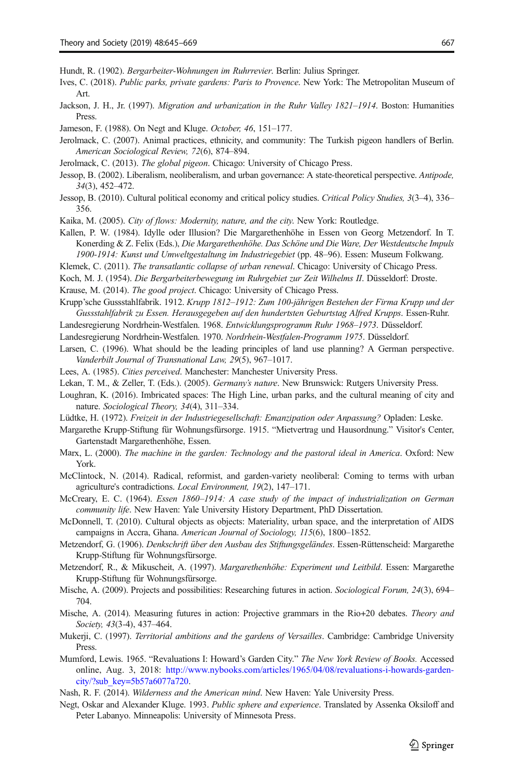<span id="page-22-0"></span>Hundt, R. (1902). Bergarbeiter-Wohnungen im Ruhrrevier. Berlin: Julius Springer.

- Ives, C. (2018). Public parks, private gardens: Paris to Provence. New York: The Metropolitan Museum of Art.
- Jackson, J. H., Jr. (1997). *Migration and urbanization in the Ruhr Valley 1821–1914*. Boston: Humanities Press.

Jameson, F. (1988). On Negt and Kluge. October, 46, 151–177.

- Jerolmack, C. (2007). Animal practices, ethnicity, and community: The Turkish pigeon handlers of Berlin. American Sociological Review, 72(6), 874–894.
- Jerolmack, C. (2013). The global pigeon. Chicago: University of Chicago Press.
- Jessop, B. (2002). Liberalism, neoliberalism, and urban governance: A state-theoretical perspective. Antipode, 34(3), 452–472.
- Jessop, B. (2010). Cultural political economy and critical policy studies. Critical Policy Studies, 3(3–4), 336– 356.

Kaika, M. (2005). City of flows: Modernity, nature, and the city. New York: Routledge.

- Kallen, P. W. (1984). Idylle oder Illusion? Die Margarethenhöhe in Essen von Georg Metzendorf. In T. Konerding & Z. Felix (Eds.), Die Margarethenhöhe. Das Schöne und Die Ware, Der Westdeutsche Impuls 1900-1914: Kunst und Umweltgestaltung im Industriegebiet (pp. 48–96). Essen: Museum Folkwang.
- Klemek, C. (2011). The transatlantic collapse of urban renewal. Chicago: University of Chicago Press.
- Koch, M. J. (1954). Die Bergarbeiterbewegung im Ruhrgebiet zur Zeit Wilhelms II. Düsseldorf: Droste.

Krause, M. (2014). The good project. Chicago: University of Chicago Press.

- Krupp'sche Gussstahlfabrik. 1912. Krupp 1812–1912: Zum 100-jährigen Bestehen der Firma Krupp und der Gussstahlfabrik zu Essen. Herausgegeben auf den hundertsten Geburtstag Alfred Krupps. Essen-Ruhr.
- Landesregierung Nordrhein-Westfalen. 1968. Entwicklungsprogramm Ruhr 1968–1973. Düsseldorf.
- Landesregierung Nordrhein-Westfalen. 1970. Nordrhein-Westfalen-Programm 1975. Düsseldorf.
- Larsen, C. (1996). What should be the leading principles of land use planning? A German perspective. Vanderbilt Journal of Transnational Law, 29(5), 967–1017.
- Lees, A. (1985). Cities perceived. Manchester: Manchester University Press.
- Lekan, T. M., & Zeller, T. (Eds.). (2005). Germany's nature. New Brunswick: Rutgers University Press.
- Loughran, K. (2016). Imbricated spaces: The High Line, urban parks, and the cultural meaning of city and nature. Sociological Theory, 34(4), 311–334.
- Lüdtke, H. (1972). Freizeit in der Industriegesellschaft: Emanzipation oder Anpassung? Opladen: Leske.
- Margarethe Krupp-Stiftung für Wohnungsfürsorge. 1915. "Mietvertrag und Hausordnung." Visitor's Center, Gartenstadt Margarethenhöhe, Essen.
- Marx, L. (2000). The machine in the garden: Technology and the pastoral ideal in America. Oxford: New York.
- McClintock, N. (2014). Radical, reformist, and garden-variety neoliberal: Coming to terms with urban agriculture's contradictions. Local Environment, 19(2), 147–171.
- McCreary, E. C. (1964). Essen 1860–1914: A case study of the impact of industrialization on German community life. New Haven: Yale University History Department, PhD Dissertation.
- McDonnell, T. (2010). Cultural objects as objects: Materiality, urban space, and the interpretation of AIDS campaigns in Accra, Ghana. American Journal of Sociology, 115(6), 1800–1852.
- Metzendorf, G. (1906). Denkschrift über den Ausbau des Stiftungsgeländes. Essen-Rüttenscheid: Margarethe Krupp-Stiftung für Wohnungsfürsorge.
- Metzendorf, R., & Mikuscheit, A. (1997). Margarethenhöhe: Experiment und Leitbild. Essen: Margarethe Krupp-Stiftung für Wohnungsfürsorge.
- Mische, A. (2009). Projects and possibilities: Researching futures in action. Sociological Forum, 24(3), 694– 704.
- Mische, A. (2014). Measuring futures in action: Projective grammars in the Rio+20 debates. Theory and Society, 43(3-4), 437–464.
- Mukerji, C. (1997). Territorial ambitions and the gardens of Versailles. Cambridge: Cambridge University Press.
- Mumford, Lewis. 1965. "Revaluations I: Howard's Garden City." The New York Review of Books. Accessed online, Aug. 3, 2018: [http://www.nybooks.com/articles/1965/04/08/revaluations-i-howards-garden](http://www.nybooks.com/articles/1965/04/08/revaluations-i-howards-garden-city/?sub_key=5b57a6077a720)[city/?sub\\_key=5b57a6077a720](http://www.nybooks.com/articles/1965/04/08/revaluations-i-howards-garden-city/?sub_key=5b57a6077a720).
- Nash, R. F. (2014). Wilderness and the American mind. New Haven: Yale University Press.
- Negt, Oskar and Alexander Kluge. 1993. Public sphere and experience. Translated by Assenka Oksiloff and Peter Labanyo. Minneapolis: University of Minnesota Press.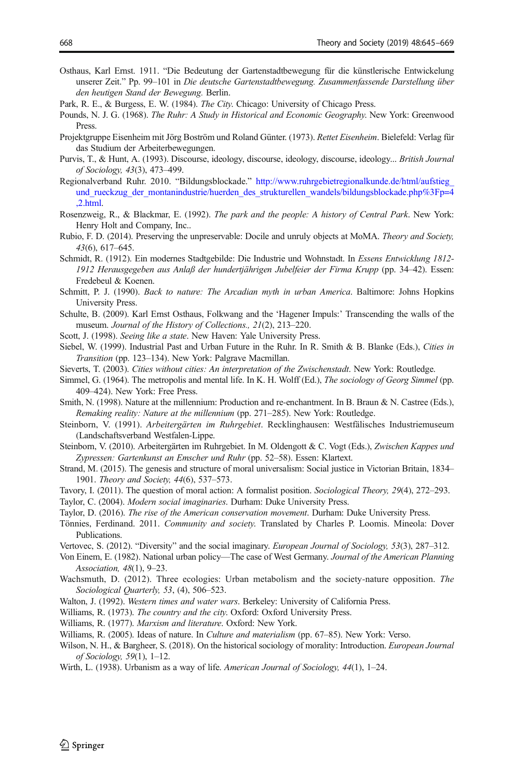- <span id="page-23-0"></span>Osthaus, Karl Ernst. 1911. "Die Bedeutung der Gartenstadtbewegung für die künstlerische Entwickelung unserer Zeit." Pp. 99–101 in Die deutsche Gartenstadtbewegung. Zusammenfassende Darstellung über den heutigen Stand der Bewegung. Berlin.
- Park, R. E., & Burgess, E. W. (1984). The City. Chicago: University of Chicago Press.
- Pounds, N. J. G. (1968). The Ruhr: A Study in Historical and Economic Geography. New York: Greenwood Press.
- Projektgruppe Eisenheim mit Jörg Boström und Roland Günter. (1973). Rettet Eisenheim. Bielefeld: Verlag für das Studium der Arbeiterbewegungen.
- Purvis, T., & Hunt, A. (1993). Discourse, ideology, discourse, ideology, discourse, ideology... British Journal of Sociology, 43(3), 473–499.
- Regionalverband Ruhr. 2010. "Bildungsblockade." [http://www.ruhrgebietregionalkunde.de/html/aufstieg\\_](http://www.ruhrgebietregionalkunde.de/html/aufstieg_und_rueckzug_der_montanindustrie/huerden_des_strukturellen_wandels/bildungsblockade.php%3Fp=4,2.html) und rueckzug der montanindustrie/huerden des strukturellen wandels/bildungsblockade.php%3Fp=4 [,2.html.](http://www.ruhrgebietregionalkunde.de/html/aufstieg_und_rueckzug_der_montanindustrie/huerden_des_strukturellen_wandels/bildungsblockade.php%3Fp=4,2.html)
- Rosenzweig, R., & Blackmar, E. (1992). The park and the people: A history of Central Park. New York: Henry Holt and Company, Inc..
- Rubio, F. D. (2014). Preserving the unpreservable: Docile and unruly objects at MoMA. Theory and Society, 43(6), 617–645.
- Schmidt, R. (1912). Ein modernes Stadtgebilde: Die Industrie und Wohnstadt. In Essens Entwicklung 1812- 1912 Herausgegeben aus Anlaß der hundertjährigen Jubelfeier der Firma Krupp (pp. 34–42). Essen: Fredebeul & Koenen.
- Schmitt, P. J. (1990). Back to nature: The Arcadian myth in urban America. Baltimore: Johns Hopkins University Press.
- Schulte, B. (2009). Karl Ernst Osthaus, Folkwang and the 'Hagener Impuls:' Transcending the walls of the museum. Journal of the History of Collections., 21(2), 213–220.
- Scott, J. (1998). Seeing like a state. New Haven: Yale University Press.
- Siebel, W. (1999). Industrial Past and Urban Future in the Ruhr. In R. Smith & B. Blanke (Eds.), Cities in Transition (pp. 123–134). New York: Palgrave Macmillan.
- Sieverts, T. (2003). Cities without cities: An interpretation of the Zwischenstadt. New York: Routledge.
- Simmel, G. (1964). The metropolis and mental life. In K. H. Wolff (Ed.), The sociology of Georg Simmel (pp. 409–424). New York: Free Press.
- Smith, N. (1998). Nature at the millennium: Production and re-enchantment. In B. Braun & N. Castree (Eds.), Remaking reality: Nature at the millennium (pp. 271–285). New York: Routledge.
- Steinborn, V. (1991). Arbeitergärten im Ruhrgebiet. Recklinghausen: Westfälisches Industriemuseum (Landschaftsverband Westfalen-Lippe.
- Steinborn, V. (2010). Arbeitergärten im Ruhrgebiet. In M. Oldengott & C. Vogt (Eds.), Zwischen Kappes und Zypressen: Gartenkunst an Emscher und Ruhr (pp. 52–58). Essen: Klartext.
- Strand, M. (2015). The genesis and structure of moral universalism: Social justice in Victorian Britain, 1834– 1901. Theory and Society, 44(6), 537–573.
- Tavory, I. (2011). The question of moral action: A formalist position. Sociological Theory, 29(4), 272–293.
- Taylor, C. (2004). Modern social imaginaries. Durham: Duke University Press.
- Taylor, D. (2016). The rise of the American conservation movement. Durham: Duke University Press.
- Tönnies, Ferdinand. 2011. Community and society. Translated by Charles P. Loomis. Mineola: Dover Publications.
- Vertovec, S. (2012). "Diversity" and the social imaginary. European Journal of Sociology, 53(3), 287–312.
- Von Einem, E. (1982). National urban policy—The case of West Germany. Journal of the American Planning Association, 48(1), 9–23.
- Wachsmuth, D. (2012). Three ecologies: Urban metabolism and the society-nature opposition. The Sociological Quarterly, 53, (4), 506–523.
- Walton, J. (1992). Western times and water wars. Berkeley: University of California Press.
- Williams, R. (1973). The country and the city. Oxford: Oxford University Press.
- Williams, R. (1977). Marxism and literature. Oxford: New York.
- Williams, R. (2005). Ideas of nature. In *Culture and materialism* (pp. 67–85). New York: Verso.
- Wilson, N. H., & Bargheer, S. (2018). On the historical sociology of morality: Introduction. European Journal of Sociology, 59(1), 1–12.
- Wirth, L. (1938). Urbanism as a way of life. American Journal of Sociology, 44(1), 1–24.